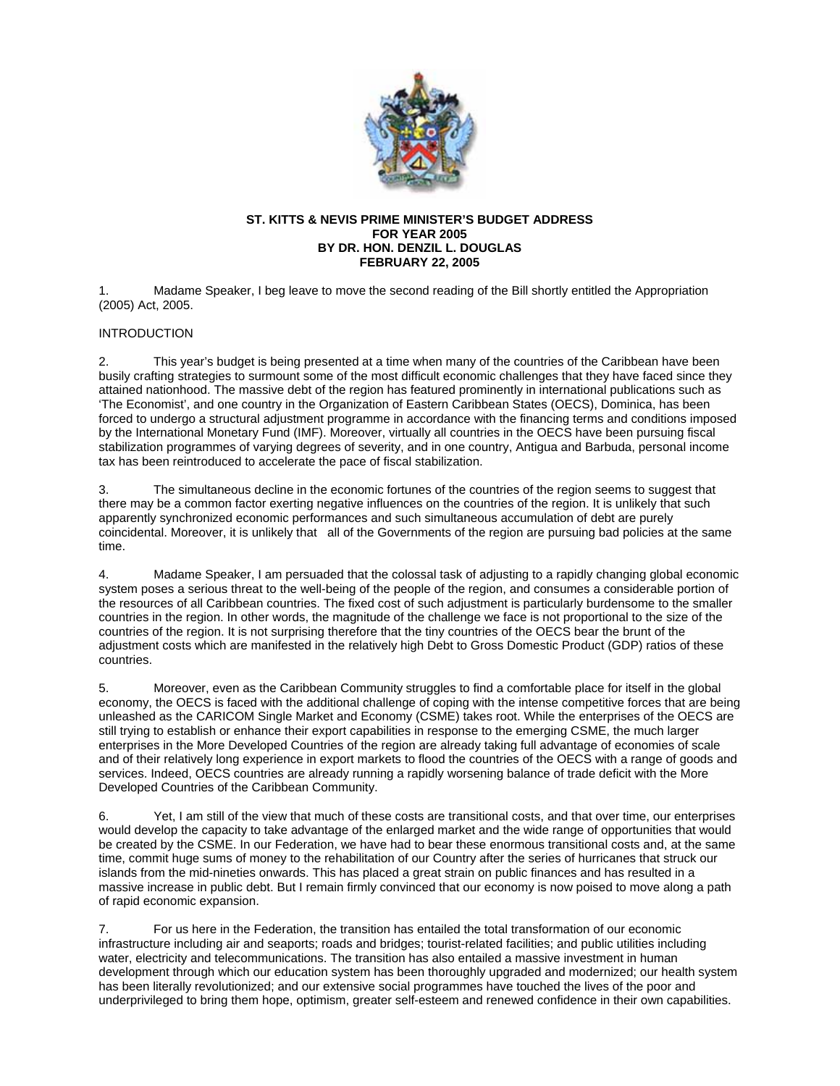

### **ST. KITTS & NEVIS PRIME MINISTER'S BUDGET ADDRESS FOR YEAR 2005 BY DR. HON. DENZIL L. DOUGLAS FEBRUARY 22, 2005**

1. Madame Speaker, I beg leave to move the second reading of the Bill shortly entitled the Appropriation (2005) Act, 2005.

# INTRODUCTION

2. This year's budget is being presented at a time when many of the countries of the Caribbean have been busily crafting strategies to surmount some of the most difficult economic challenges that they have faced since they attained nationhood. The massive debt of the region has featured prominently in international publications such as 'The Economist', and one country in the Organization of Eastern Caribbean States (OECS), Dominica, has been forced to undergo a structural adjustment programme in accordance with the financing terms and conditions imposed by the International Monetary Fund (IMF). Moreover, virtually all countries in the OECS have been pursuing fiscal stabilization programmes of varying degrees of severity, and in one country, Antigua and Barbuda, personal income tax has been reintroduced to accelerate the pace of fiscal stabilization.

3. The simultaneous decline in the economic fortunes of the countries of the region seems to suggest that there may be a common factor exerting negative influences on the countries of the region. It is unlikely that such apparently synchronized economic performances and such simultaneous accumulation of debt are purely coincidental. Moreover, it is unlikely that all of the Governments of the region are pursuing bad policies at the same time.

4. Madame Speaker, I am persuaded that the colossal task of adjusting to a rapidly changing global economic system poses a serious threat to the well-being of the people of the region, and consumes a considerable portion of the resources of all Caribbean countries. The fixed cost of such adjustment is particularly burdensome to the smaller countries in the region. In other words, the magnitude of the challenge we face is not proportional to the size of the countries of the region. It is not surprising therefore that the tiny countries of the OECS bear the brunt of the adjustment costs which are manifested in the relatively high Debt to Gross Domestic Product (GDP) ratios of these countries.

5. Moreover, even as the Caribbean Community struggles to find a comfortable place for itself in the global economy, the OECS is faced with the additional challenge of coping with the intense competitive forces that are being unleashed as the CARICOM Single Market and Economy (CSME) takes root. While the enterprises of the OECS are still trying to establish or enhance their export capabilities in response to the emerging CSME, the much larger enterprises in the More Developed Countries of the region are already taking full advantage of economies of scale and of their relatively long experience in export markets to flood the countries of the OECS with a range of goods and services. Indeed, OECS countries are already running a rapidly worsening balance of trade deficit with the More Developed Countries of the Caribbean Community.

6. Yet, I am still of the view that much of these costs are transitional costs, and that over time, our enterprises would develop the capacity to take advantage of the enlarged market and the wide range of opportunities that would be created by the CSME. In our Federation, we have had to bear these enormous transitional costs and, at the same time, commit huge sums of money to the rehabilitation of our Country after the series of hurricanes that struck our islands from the mid-nineties onwards. This has placed a great strain on public finances and has resulted in a massive increase in public debt. But I remain firmly convinced that our economy is now poised to move along a path of rapid economic expansion.

7. For us here in the Federation, the transition has entailed the total transformation of our economic infrastructure including air and seaports; roads and bridges; tourist-related facilities; and public utilities including water, electricity and telecommunications. The transition has also entailed a massive investment in human development through which our education system has been thoroughly upgraded and modernized; our health system has been literally revolutionized; and our extensive social programmes have touched the lives of the poor and underprivileged to bring them hope, optimism, greater self-esteem and renewed confidence in their own capabilities.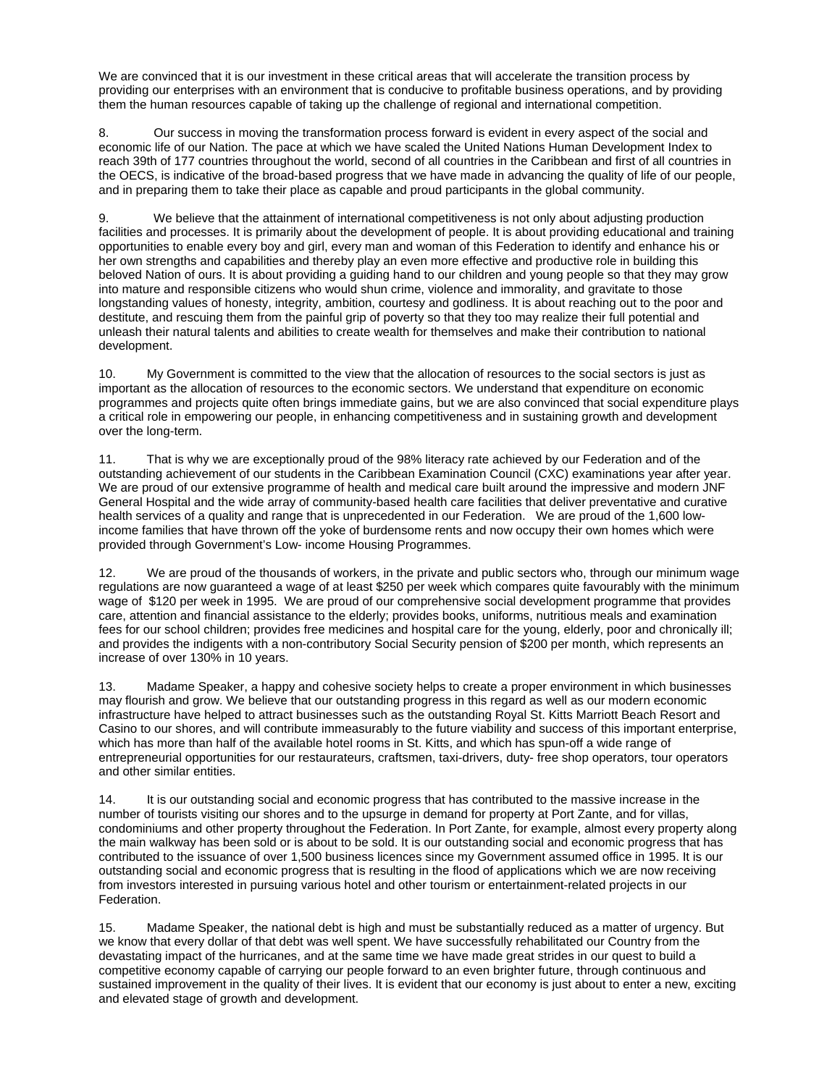We are convinced that it is our investment in these critical areas that will accelerate the transition process by providing our enterprises with an environment that is conducive to profitable business operations, and by providing them the human resources capable of taking up the challenge of regional and international competition.

8. Our success in moving the transformation process forward is evident in every aspect of the social and economic life of our Nation. The pace at which we have scaled the United Nations Human Development Index to reach 39th of 177 countries throughout the world, second of all countries in the Caribbean and first of all countries in the OECS, is indicative of the broad-based progress that we have made in advancing the quality of life of our people, and in preparing them to take their place as capable and proud participants in the global community.

9. We believe that the attainment of international competitiveness is not only about adjusting production facilities and processes. It is primarily about the development of people. It is about providing educational and training opportunities to enable every boy and girl, every man and woman of this Federation to identify and enhance his or her own strengths and capabilities and thereby play an even more effective and productive role in building this beloved Nation of ours. It is about providing a guiding hand to our children and young people so that they may grow into mature and responsible citizens who would shun crime, violence and immorality, and gravitate to those longstanding values of honesty, integrity, ambition, courtesy and godliness. It is about reaching out to the poor and destitute, and rescuing them from the painful grip of poverty so that they too may realize their full potential and unleash their natural talents and abilities to create wealth for themselves and make their contribution to national development.

10. My Government is committed to the view that the allocation of resources to the social sectors is just as important as the allocation of resources to the economic sectors. We understand that expenditure on economic programmes and projects quite often brings immediate gains, but we are also convinced that social expenditure plays a critical role in empowering our people, in enhancing competitiveness and in sustaining growth and development over the long-term.

11. That is why we are exceptionally proud of the 98% literacy rate achieved by our Federation and of the outstanding achievement of our students in the Caribbean Examination Council (CXC) examinations year after year. We are proud of our extensive programme of health and medical care built around the impressive and modern JNF General Hospital and the wide array of community-based health care facilities that deliver preventative and curative health services of a quality and range that is unprecedented in our Federation. We are proud of the 1,600 lowincome families that have thrown off the yoke of burdensome rents and now occupy their own homes which were provided through Government's Low- income Housing Programmes.

12. We are proud of the thousands of workers, in the private and public sectors who, through our minimum wage regulations are now guaranteed a wage of at least \$250 per week which compares quite favourably with the minimum wage of \$120 per week in 1995. We are proud of our comprehensive social development programme that provides care, attention and financial assistance to the elderly; provides books, uniforms, nutritious meals and examination fees for our school children; provides free medicines and hospital care for the young, elderly, poor and chronically ill; and provides the indigents with a non-contributory Social Security pension of \$200 per month, which represents an increase of over 130% in 10 years.

13. Madame Speaker, a happy and cohesive society helps to create a proper environment in which businesses may flourish and grow. We believe that our outstanding progress in this regard as well as our modern economic infrastructure have helped to attract businesses such as the outstanding Royal St. Kitts Marriott Beach Resort and Casino to our shores, and will contribute immeasurably to the future viability and success of this important enterprise, which has more than half of the available hotel rooms in St. Kitts, and which has spun-off a wide range of entrepreneurial opportunities for our restaurateurs, craftsmen, taxi-drivers, duty- free shop operators, tour operators and other similar entities.

14. It is our outstanding social and economic progress that has contributed to the massive increase in the number of tourists visiting our shores and to the upsurge in demand for property at Port Zante, and for villas, condominiums and other property throughout the Federation. In Port Zante, for example, almost every property along the main walkway has been sold or is about to be sold. It is our outstanding social and economic progress that has contributed to the issuance of over 1,500 business licences since my Government assumed office in 1995. It is our outstanding social and economic progress that is resulting in the flood of applications which we are now receiving from investors interested in pursuing various hotel and other tourism or entertainment-related projects in our Federation.

15. Madame Speaker, the national debt is high and must be substantially reduced as a matter of urgency. But we know that every dollar of that debt was well spent. We have successfully rehabilitated our Country from the devastating impact of the hurricanes, and at the same time we have made great strides in our quest to build a competitive economy capable of carrying our people forward to an even brighter future, through continuous and sustained improvement in the quality of their lives. It is evident that our economy is just about to enter a new, exciting and elevated stage of growth and development.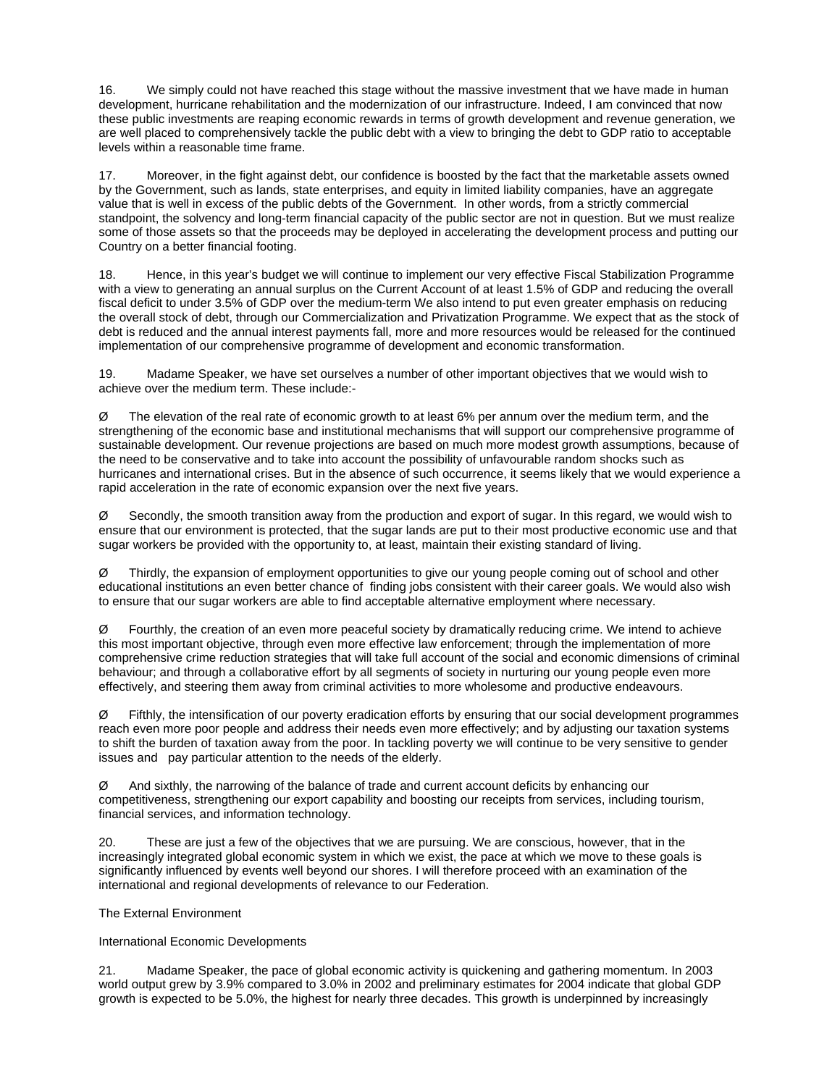16. We simply could not have reached this stage without the massive investment that we have made in human development, hurricane rehabilitation and the modernization of our infrastructure. Indeed, I am convinced that now these public investments are reaping economic rewards in terms of growth development and revenue generation, we are well placed to comprehensively tackle the public debt with a view to bringing the debt to GDP ratio to acceptable levels within a reasonable time frame.

17. Moreover, in the fight against debt, our confidence is boosted by the fact that the marketable assets owned by the Government, such as lands, state enterprises, and equity in limited liability companies, have an aggregate value that is well in excess of the public debts of the Government. In other words, from a strictly commercial standpoint, the solvency and long-term financial capacity of the public sector are not in question. But we must realize some of those assets so that the proceeds may be deployed in accelerating the development process and putting our Country on a better financial footing.

18. Hence, in this year's budget we will continue to implement our very effective Fiscal Stabilization Programme with a view to generating an annual surplus on the Current Account of at least 1.5% of GDP and reducing the overall fiscal deficit to under 3.5% of GDP over the medium-term We also intend to put even greater emphasis on reducing the overall stock of debt, through our Commercialization and Privatization Programme. We expect that as the stock of debt is reduced and the annual interest payments fall, more and more resources would be released for the continued implementation of our comprehensive programme of development and economic transformation.

19. Madame Speaker, we have set ourselves a number of other important objectives that we would wish to achieve over the medium term. These include:-

 $\varnothing$  The elevation of the real rate of economic growth to at least 6% per annum over the medium term, and the strengthening of the economic base and institutional mechanisms that will support our comprehensive programme of sustainable development. Our revenue projections are based on much more modest growth assumptions, because of the need to be conservative and to take into account the possibility of unfavourable random shocks such as hurricanes and international crises. But in the absence of such occurrence, it seems likely that we would experience a rapid acceleration in the rate of economic expansion over the next five years.

 $\varnothing$  Secondly, the smooth transition away from the production and export of sugar. In this regard, we would wish to ensure that our environment is protected, that the sugar lands are put to their most productive economic use and that sugar workers be provided with the opportunity to, at least, maintain their existing standard of living.

 $\varnothing$  Thirdly, the expansion of employment opportunities to give our young people coming out of school and other educational institutions an even better chance of finding jobs consistent with their career goals. We would also wish to ensure that our sugar workers are able to find acceptable alternative employment where necessary.

 $\varnothing$  Fourthly, the creation of an even more peaceful society by dramatically reducing crime. We intend to achieve this most important objective, through even more effective law enforcement; through the implementation of more comprehensive crime reduction strategies that will take full account of the social and economic dimensions of criminal behaviour; and through a collaborative effort by all segments of society in nurturing our young people even more effectively, and steering them away from criminal activities to more wholesome and productive endeavours.

 $\varnothing$  Fifthly, the intensification of our poverty eradication efforts by ensuring that our social development programmes reach even more poor people and address their needs even more effectively; and by adjusting our taxation systems to shift the burden of taxation away from the poor. In tackling poverty we will continue to be very sensitive to gender issues and pay particular attention to the needs of the elderly.

Ø And sixthly, the narrowing of the balance of trade and current account deficits by enhancing our competitiveness, strengthening our export capability and boosting our receipts from services, including tourism, financial services, and information technology.

20. These are just a few of the objectives that we are pursuing. We are conscious, however, that in the increasingly integrated global economic system in which we exist, the pace at which we move to these goals is significantly influenced by events well beyond our shores. I will therefore proceed with an examination of the international and regional developments of relevance to our Federation.

The External Environment

International Economic Developments

21. Madame Speaker, the pace of global economic activity is quickening and gathering momentum. In 2003 world output grew by 3.9% compared to 3.0% in 2002 and preliminary estimates for 2004 indicate that global GDP growth is expected to be 5.0%, the highest for nearly three decades. This growth is underpinned by increasingly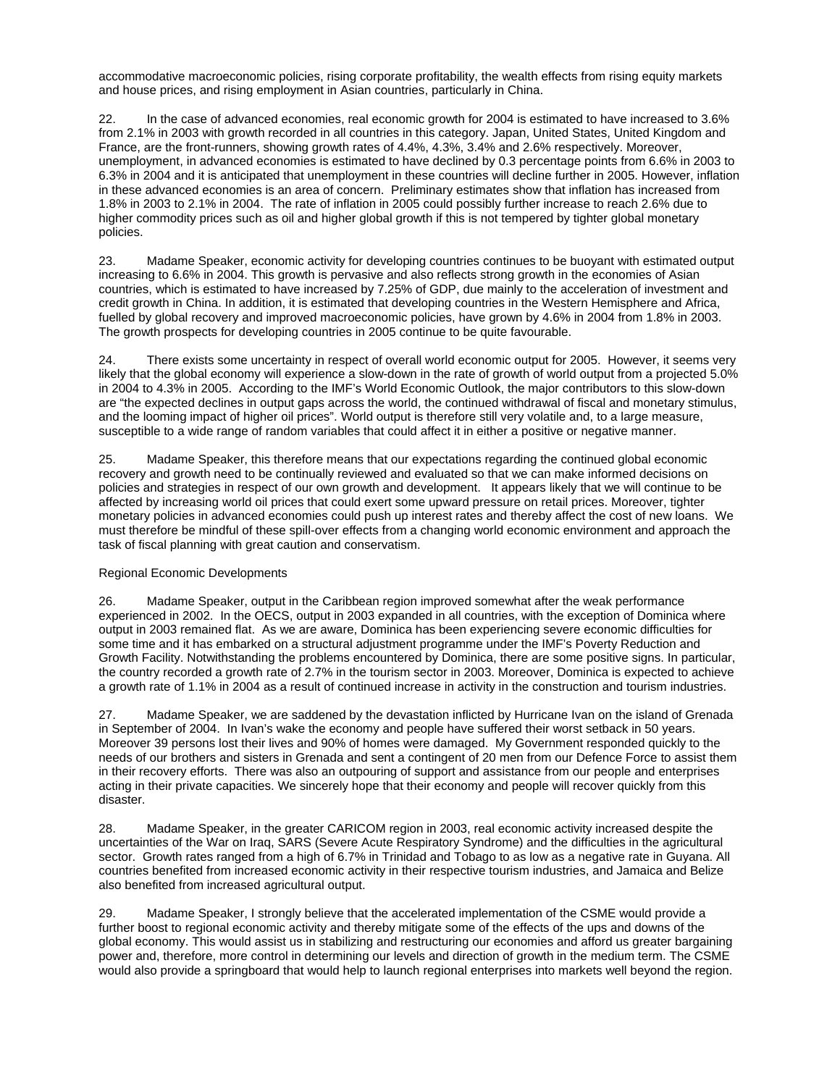accommodative macroeconomic policies, rising corporate profitability, the wealth effects from rising equity markets and house prices, and rising employment in Asian countries, particularly in China.

22. In the case of advanced economies, real economic growth for 2004 is estimated to have increased to 3.6% from 2.1% in 2003 with growth recorded in all countries in this category. Japan, United States, United Kingdom and France, are the front-runners, showing growth rates of 4.4%, 4.3%, 3.4% and 2.6% respectively. Moreover, unemployment, in advanced economies is estimated to have declined by 0.3 percentage points from 6.6% in 2003 to 6.3% in 2004 and it is anticipated that unemployment in these countries will decline further in 2005. However, inflation in these advanced economies is an area of concern. Preliminary estimates show that inflation has increased from 1.8% in 2003 to 2.1% in 2004. The rate of inflation in 2005 could possibly further increase to reach 2.6% due to higher commodity prices such as oil and higher global growth if this is not tempered by tighter global monetary policies.

23. Madame Speaker, economic activity for developing countries continues to be buoyant with estimated output increasing to 6.6% in 2004. This growth is pervasive and also reflects strong growth in the economies of Asian countries, which is estimated to have increased by 7.25% of GDP, due mainly to the acceleration of investment and credit growth in China. In addition, it is estimated that developing countries in the Western Hemisphere and Africa, fuelled by global recovery and improved macroeconomic policies, have grown by 4.6% in 2004 from 1.8% in 2003. The growth prospects for developing countries in 2005 continue to be quite favourable.

24. There exists some uncertainty in respect of overall world economic output for 2005. However, it seems very likely that the global economy will experience a slow-down in the rate of growth of world output from a projected 5.0% in 2004 to 4.3% in 2005. According to the IMF's World Economic Outlook, the major contributors to this slow-down are "the expected declines in output gaps across the world, the continued withdrawal of fiscal and monetary stimulus, and the looming impact of higher oil prices". World output is therefore still very volatile and, to a large measure, susceptible to a wide range of random variables that could affect it in either a positive or negative manner.

25. Madame Speaker, this therefore means that our expectations regarding the continued global economic recovery and growth need to be continually reviewed and evaluated so that we can make informed decisions on policies and strategies in respect of our own growth and development. It appears likely that we will continue to be affected by increasing world oil prices that could exert some upward pressure on retail prices. Moreover, tighter monetary policies in advanced economies could push up interest rates and thereby affect the cost of new loans. We must therefore be mindful of these spill-over effects from a changing world economic environment and approach the task of fiscal planning with great caution and conservatism.

## Regional Economic Developments

26. Madame Speaker, output in the Caribbean region improved somewhat after the weak performance experienced in 2002. In the OECS, output in 2003 expanded in all countries, with the exception of Dominica where output in 2003 remained flat. As we are aware, Dominica has been experiencing severe economic difficulties for some time and it has embarked on a structural adjustment programme under the IMF's Poverty Reduction and Growth Facility. Notwithstanding the problems encountered by Dominica, there are some positive signs. In particular, the country recorded a growth rate of 2.7% in the tourism sector in 2003. Moreover, Dominica is expected to achieve a growth rate of 1.1% in 2004 as a result of continued increase in activity in the construction and tourism industries.

27. Madame Speaker, we are saddened by the devastation inflicted by Hurricane Ivan on the island of Grenada in September of 2004. In Ivan's wake the economy and people have suffered their worst setback in 50 years. Moreover 39 persons lost their lives and 90% of homes were damaged. My Government responded quickly to the needs of our brothers and sisters in Grenada and sent a contingent of 20 men from our Defence Force to assist them in their recovery efforts. There was also an outpouring of support and assistance from our people and enterprises acting in their private capacities. We sincerely hope that their economy and people will recover quickly from this disaster.

28. Madame Speaker, in the greater CARICOM region in 2003, real economic activity increased despite the uncertainties of the War on Iraq, SARS (Severe Acute Respiratory Syndrome) and the difficulties in the agricultural sector. Growth rates ranged from a high of 6.7% in Trinidad and Tobago to as low as a negative rate in Guyana. All countries benefited from increased economic activity in their respective tourism industries, and Jamaica and Belize also benefited from increased agricultural output.

29. Madame Speaker, I strongly believe that the accelerated implementation of the CSME would provide a further boost to regional economic activity and thereby mitigate some of the effects of the ups and downs of the global economy. This would assist us in stabilizing and restructuring our economies and afford us greater bargaining power and, therefore, more control in determining our levels and direction of growth in the medium term. The CSME would also provide a springboard that would help to launch regional enterprises into markets well beyond the region.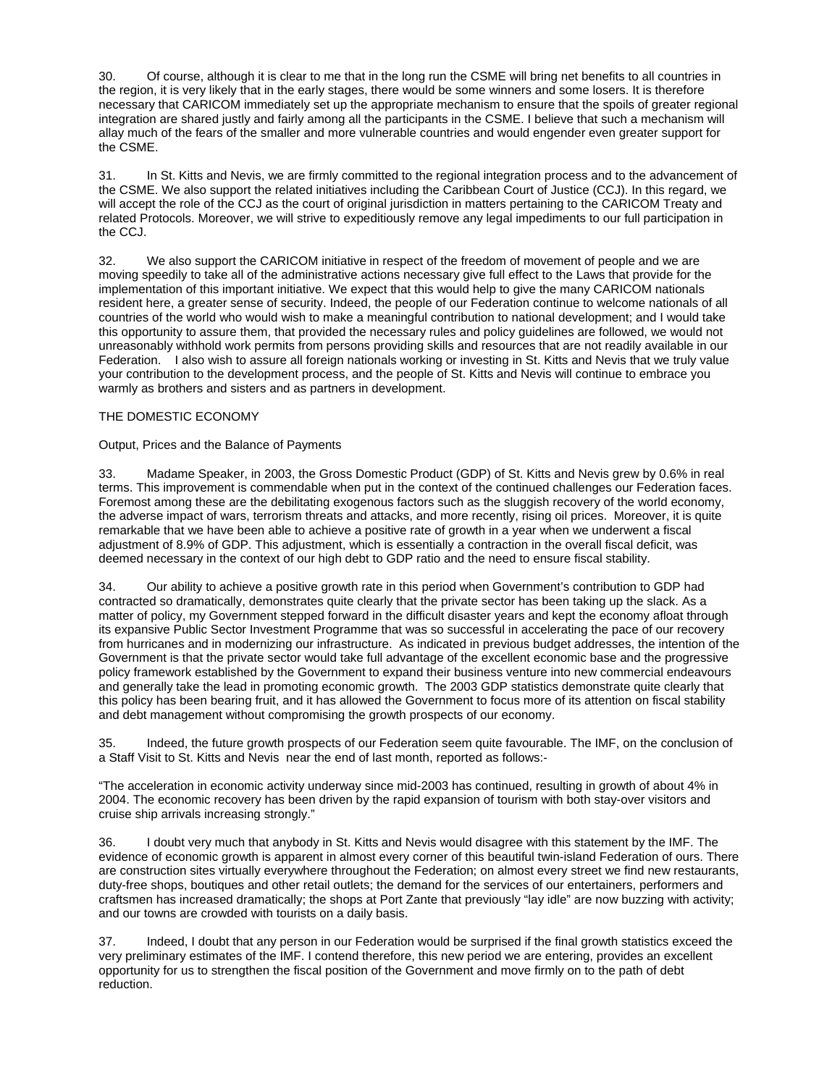30. Of course, although it is clear to me that in the long run the CSME will bring net benefits to all countries in the region, it is very likely that in the early stages, there would be some winners and some losers. It is therefore necessary that CARICOM immediately set up the appropriate mechanism to ensure that the spoils of greater regional integration are shared justly and fairly among all the participants in the CSME. I believe that such a mechanism will allay much of the fears of the smaller and more vulnerable countries and would engender even greater support for the CSME.

31. In St. Kitts and Nevis, we are firmly committed to the regional integration process and to the advancement of the CSME. We also support the related initiatives including the Caribbean Court of Justice (CCJ). In this regard, we will accept the role of the CCJ as the court of original jurisdiction in matters pertaining to the CARICOM Treaty and related Protocols. Moreover, we will strive to expeditiously remove any legal impediments to our full participation in the CCJ.

32. We also support the CARICOM initiative in respect of the freedom of movement of people and we are moving speedily to take all of the administrative actions necessary give full effect to the Laws that provide for the implementation of this important initiative. We expect that this would help to give the many CARICOM nationals resident here, a greater sense of security. Indeed, the people of our Federation continue to welcome nationals of all countries of the world who would wish to make a meaningful contribution to national development; and I would take this opportunity to assure them, that provided the necessary rules and policy guidelines are followed, we would not unreasonably withhold work permits from persons providing skills and resources that are not readily available in our Federation. I also wish to assure all foreign nationals working or investing in St. Kitts and Nevis that we truly value your contribution to the development process, and the people of St. Kitts and Nevis will continue to embrace you warmly as brothers and sisters and as partners in development.

### THE DOMESTIC ECONOMY

### Output, Prices and the Balance of Payments

33. Madame Speaker, in 2003, the Gross Domestic Product (GDP) of St. Kitts and Nevis grew by 0.6% in real terms. This improvement is commendable when put in the context of the continued challenges our Federation faces. Foremost among these are the debilitating exogenous factors such as the sluggish recovery of the world economy, the adverse impact of wars, terrorism threats and attacks, and more recently, rising oil prices. Moreover, it is quite remarkable that we have been able to achieve a positive rate of growth in a year when we underwent a fiscal adjustment of 8.9% of GDP. This adjustment, which is essentially a contraction in the overall fiscal deficit, was deemed necessary in the context of our high debt to GDP ratio and the need to ensure fiscal stability.

34. Our ability to achieve a positive growth rate in this period when Government's contribution to GDP had contracted so dramatically, demonstrates quite clearly that the private sector has been taking up the slack. As a matter of policy, my Government stepped forward in the difficult disaster years and kept the economy afloat through its expansive Public Sector Investment Programme that was so successful in accelerating the pace of our recovery from hurricanes and in modernizing our infrastructure. As indicated in previous budget addresses, the intention of the Government is that the private sector would take full advantage of the excellent economic base and the progressive policy framework established by the Government to expand their business venture into new commercial endeavours and generally take the lead in promoting economic growth. The 2003 GDP statistics demonstrate quite clearly that this policy has been bearing fruit, and it has allowed the Government to focus more of its attention on fiscal stability and debt management without compromising the growth prospects of our economy.

35. Indeed, the future growth prospects of our Federation seem quite favourable. The IMF, on the conclusion of a Staff Visit to St. Kitts and Nevis near the end of last month, reported as follows:-

"The acceleration in economic activity underway since mid-2003 has continued, resulting in growth of about 4% in 2004. The economic recovery has been driven by the rapid expansion of tourism with both stay-over visitors and cruise ship arrivals increasing strongly."

36. I doubt very much that anybody in St. Kitts and Nevis would disagree with this statement by the IMF. The evidence of economic growth is apparent in almost every corner of this beautiful twin-island Federation of ours. There are construction sites virtually everywhere throughout the Federation; on almost every street we find new restaurants, duty-free shops, boutiques and other retail outlets; the demand for the services of our entertainers, performers and craftsmen has increased dramatically; the shops at Port Zante that previously "lay idle" are now buzzing with activity; and our towns are crowded with tourists on a daily basis.

37. Indeed, I doubt that any person in our Federation would be surprised if the final growth statistics exceed the very preliminary estimates of the IMF. I contend therefore, this new period we are entering, provides an excellent opportunity for us to strengthen the fiscal position of the Government and move firmly on to the path of debt reduction.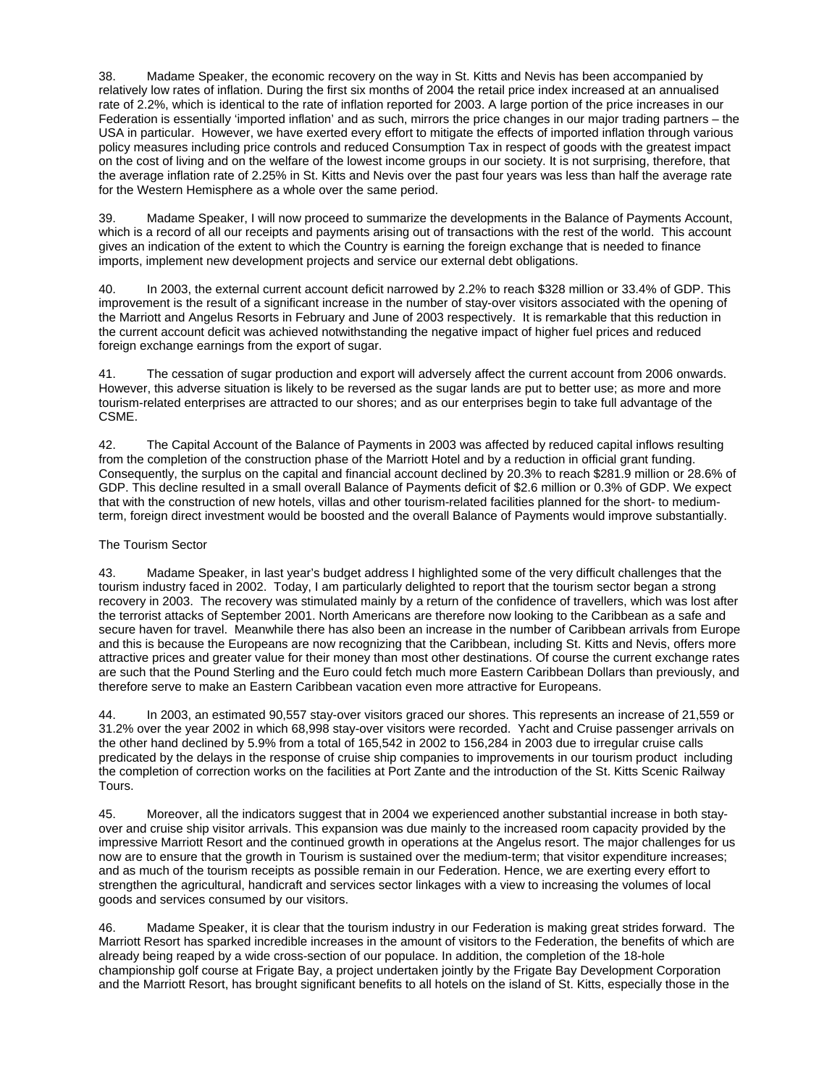38. Madame Speaker, the economic recovery on the way in St. Kitts and Nevis has been accompanied by relatively low rates of inflation. During the first six months of 2004 the retail price index increased at an annualised rate of 2.2%, which is identical to the rate of inflation reported for 2003. A large portion of the price increases in our Federation is essentially 'imported inflation' and as such, mirrors the price changes in our major trading partners – the USA in particular. However, we have exerted every effort to mitigate the effects of imported inflation through various policy measures including price controls and reduced Consumption Tax in respect of goods with the greatest impact on the cost of living and on the welfare of the lowest income groups in our society. It is not surprising, therefore, that the average inflation rate of 2.25% in St. Kitts and Nevis over the past four years was less than half the average rate for the Western Hemisphere as a whole over the same period.

39. Madame Speaker, I will now proceed to summarize the developments in the Balance of Payments Account, which is a record of all our receipts and payments arising out of transactions with the rest of the world. This account gives an indication of the extent to which the Country is earning the foreign exchange that is needed to finance imports, implement new development projects and service our external debt obligations.

40. In 2003, the external current account deficit narrowed by 2.2% to reach \$328 million or 33.4% of GDP. This improvement is the result of a significant increase in the number of stay-over visitors associated with the opening of the Marriott and Angelus Resorts in February and June of 2003 respectively. It is remarkable that this reduction in the current account deficit was achieved notwithstanding the negative impact of higher fuel prices and reduced foreign exchange earnings from the export of sugar.

41. The cessation of sugar production and export will adversely affect the current account from 2006 onwards. However, this adverse situation is likely to be reversed as the sugar lands are put to better use; as more and more tourism-related enterprises are attracted to our shores; and as our enterprises begin to take full advantage of the CSME.

42. The Capital Account of the Balance of Payments in 2003 was affected by reduced capital inflows resulting from the completion of the construction phase of the Marriott Hotel and by a reduction in official grant funding. Consequently, the surplus on the capital and financial account declined by 20.3% to reach \$281.9 million or 28.6% of GDP. This decline resulted in a small overall Balance of Payments deficit of \$2.6 million or 0.3% of GDP. We expect that with the construction of new hotels, villas and other tourism-related facilities planned for the short- to mediumterm, foreign direct investment would be boosted and the overall Balance of Payments would improve substantially.

### The Tourism Sector

43. Madame Speaker, in last year's budget address I highlighted some of the very difficult challenges that the tourism industry faced in 2002. Today, I am particularly delighted to report that the tourism sector began a strong recovery in 2003. The recovery was stimulated mainly by a return of the confidence of travellers, which was lost after the terrorist attacks of September 2001. North Americans are therefore now looking to the Caribbean as a safe and secure haven for travel. Meanwhile there has also been an increase in the number of Caribbean arrivals from Europe and this is because the Europeans are now recognizing that the Caribbean, including St. Kitts and Nevis, offers more attractive prices and greater value for their money than most other destinations. Of course the current exchange rates are such that the Pound Sterling and the Euro could fetch much more Eastern Caribbean Dollars than previously, and therefore serve to make an Eastern Caribbean vacation even more attractive for Europeans.

44. In 2003, an estimated 90,557 stay-over visitors graced our shores. This represents an increase of 21,559 or 31.2% over the year 2002 in which 68,998 stay-over visitors were recorded. Yacht and Cruise passenger arrivals on the other hand declined by 5.9% from a total of 165,542 in 2002 to 156,284 in 2003 due to irregular cruise calls predicated by the delays in the response of cruise ship companies to improvements in our tourism product including the completion of correction works on the facilities at Port Zante and the introduction of the St. Kitts Scenic Railway Tours.

45. Moreover, all the indicators suggest that in 2004 we experienced another substantial increase in both stayover and cruise ship visitor arrivals. This expansion was due mainly to the increased room capacity provided by the impressive Marriott Resort and the continued growth in operations at the Angelus resort. The major challenges for us now are to ensure that the growth in Tourism is sustained over the medium-term; that visitor expenditure increases; and as much of the tourism receipts as possible remain in our Federation. Hence, we are exerting every effort to strengthen the agricultural, handicraft and services sector linkages with a view to increasing the volumes of local goods and services consumed by our visitors.

46. Madame Speaker, it is clear that the tourism industry in our Federation is making great strides forward. The Marriott Resort has sparked incredible increases in the amount of visitors to the Federation, the benefits of which are already being reaped by a wide cross-section of our populace. In addition, the completion of the 18-hole championship golf course at Frigate Bay, a project undertaken jointly by the Frigate Bay Development Corporation and the Marriott Resort, has brought significant benefits to all hotels on the island of St. Kitts, especially those in the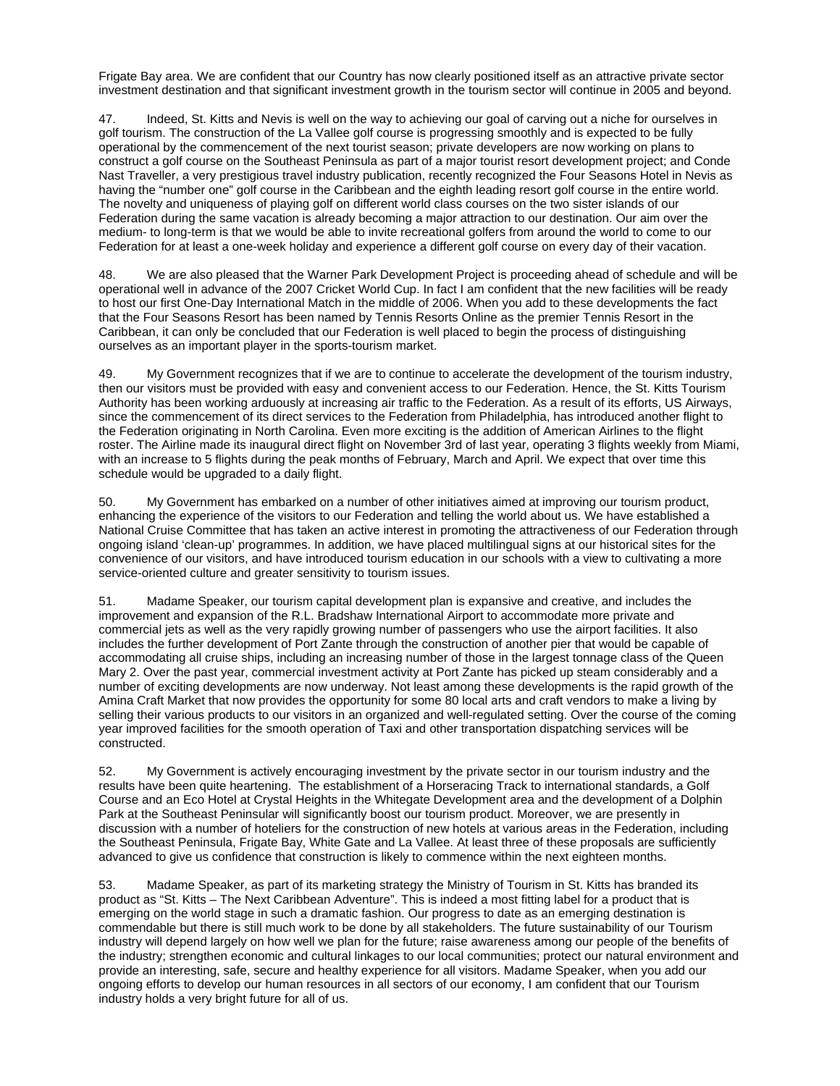Frigate Bay area. We are confident that our Country has now clearly positioned itself as an attractive private sector investment destination and that significant investment growth in the tourism sector will continue in 2005 and beyond.

47. Indeed, St. Kitts and Nevis is well on the way to achieving our goal of carving out a niche for ourselves in golf tourism. The construction of the La Vallee golf course is progressing smoothly and is expected to be fully operational by the commencement of the next tourist season; private developers are now working on plans to construct a golf course on the Southeast Peninsula as part of a major tourist resort development project; and Conde Nast Traveller, a very prestigious travel industry publication, recently recognized the Four Seasons Hotel in Nevis as having the "number one" golf course in the Caribbean and the eighth leading resort golf course in the entire world. The novelty and uniqueness of playing golf on different world class courses on the two sister islands of our Federation during the same vacation is already becoming a major attraction to our destination. Our aim over the medium- to long-term is that we would be able to invite recreational golfers from around the world to come to our Federation for at least a one-week holiday and experience a different golf course on every day of their vacation.

48. We are also pleased that the Warner Park Development Project is proceeding ahead of schedule and will be operational well in advance of the 2007 Cricket World Cup. In fact I am confident that the new facilities will be ready to host our first One-Day International Match in the middle of 2006. When you add to these developments the fact that the Four Seasons Resort has been named by Tennis Resorts Online as the premier Tennis Resort in the Caribbean, it can only be concluded that our Federation is well placed to begin the process of distinguishing ourselves as an important player in the sports-tourism market.

49. My Government recognizes that if we are to continue to accelerate the development of the tourism industry, then our visitors must be provided with easy and convenient access to our Federation. Hence, the St. Kitts Tourism Authority has been working arduously at increasing air traffic to the Federation. As a result of its efforts, US Airways, since the commencement of its direct services to the Federation from Philadelphia, has introduced another flight to the Federation originating in North Carolina. Even more exciting is the addition of American Airlines to the flight roster. The Airline made its inaugural direct flight on November 3rd of last year, operating 3 flights weekly from Miami, with an increase to 5 flights during the peak months of February, March and April. We expect that over time this schedule would be upgraded to a daily flight.

50. My Government has embarked on a number of other initiatives aimed at improving our tourism product, enhancing the experience of the visitors to our Federation and telling the world about us. We have established a National Cruise Committee that has taken an active interest in promoting the attractiveness of our Federation through ongoing island 'clean-up' programmes. In addition, we have placed multilingual signs at our historical sites for the convenience of our visitors, and have introduced tourism education in our schools with a view to cultivating a more service-oriented culture and greater sensitivity to tourism issues.

51. Madame Speaker, our tourism capital development plan is expansive and creative, and includes the improvement and expansion of the R.L. Bradshaw International Airport to accommodate more private and commercial jets as well as the very rapidly growing number of passengers who use the airport facilities. It also includes the further development of Port Zante through the construction of another pier that would be capable of accommodating all cruise ships, including an increasing number of those in the largest tonnage class of the Queen Mary 2. Over the past year, commercial investment activity at Port Zante has picked up steam considerably and a number of exciting developments are now underway. Not least among these developments is the rapid growth of the Amina Craft Market that now provides the opportunity for some 80 local arts and craft vendors to make a living by selling their various products to our visitors in an organized and well-regulated setting. Over the course of the coming year improved facilities for the smooth operation of Taxi and other transportation dispatching services will be constructed.

52. My Government is actively encouraging investment by the private sector in our tourism industry and the results have been quite heartening. The establishment of a Horseracing Track to international standards, a Golf Course and an Eco Hotel at Crystal Heights in the Whitegate Development area and the development of a Dolphin Park at the Southeast Peninsular will significantly boost our tourism product. Moreover, we are presently in discussion with a number of hoteliers for the construction of new hotels at various areas in the Federation, including the Southeast Peninsula, Frigate Bay, White Gate and La Vallee. At least three of these proposals are sufficiently advanced to give us confidence that construction is likely to commence within the next eighteen months.

53. Madame Speaker, as part of its marketing strategy the Ministry of Tourism in St. Kitts has branded its product as "St. Kitts – The Next Caribbean Adventure". This is indeed a most fitting label for a product that is emerging on the world stage in such a dramatic fashion. Our progress to date as an emerging destination is commendable but there is still much work to be done by all stakeholders. The future sustainability of our Tourism industry will depend largely on how well we plan for the future; raise awareness among our people of the benefits of the industry; strengthen economic and cultural linkages to our local communities; protect our natural environment and provide an interesting, safe, secure and healthy experience for all visitors. Madame Speaker, when you add our ongoing efforts to develop our human resources in all sectors of our economy, I am confident that our Tourism industry holds a very bright future for all of us.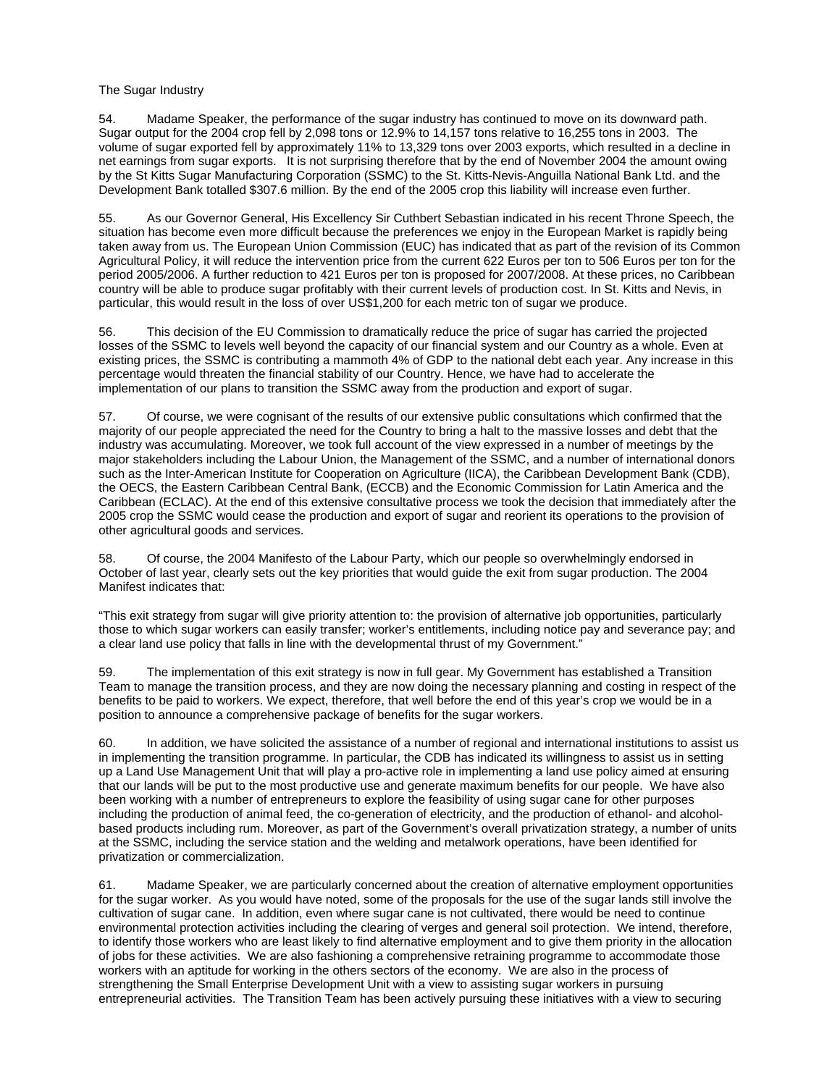### The Sugar Industry

54. Madame Speaker, the performance of the sugar industry has continued to move on its downward path. Sugar output for the 2004 crop fell by 2,098 tons or 12.9% to 14,157 tons relative to 16,255 tons in 2003. The volume of sugar exported fell by approximately 11% to 13,329 tons over 2003 exports, which resulted in a decline in net earnings from sugar exports. It is not surprising therefore that by the end of November 2004 the amount owing by the St Kitts Sugar Manufacturing Corporation (SSMC) to the St. Kitts-Nevis-Anguilla National Bank Ltd. and the Development Bank totalled \$307.6 million. By the end of the 2005 crop this liability will increase even further.

55. As our Governor General, His Excellency Sir Cuthbert Sebastian indicated in his recent Throne Speech, the situation has become even more difficult because the preferences we enjoy in the European Market is rapidly being taken away from us. The European Union Commission (EUC) has indicated that as part of the revision of its Common Agricultural Policy, it will reduce the intervention price from the current 622 Euros per ton to 506 Euros per ton for the period 2005/2006. A further reduction to 421 Euros per ton is proposed for 2007/2008. At these prices, no Caribbean country will be able to produce sugar profitably with their current levels of production cost. In St. Kitts and Nevis, in particular, this would result in the loss of over US\$1,200 for each metric ton of sugar we produce.

56. This decision of the EU Commission to dramatically reduce the price of sugar has carried the projected losses of the SSMC to levels well beyond the capacity of our financial system and our Country as a whole. Even at existing prices, the SSMC is contributing a mammoth 4% of GDP to the national debt each year. Any increase in this percentage would threaten the financial stability of our Country. Hence, we have had to accelerate the implementation of our plans to transition the SSMC away from the production and export of sugar.

57. Of course, we were cognisant of the results of our extensive public consultations which confirmed that the majority of our people appreciated the need for the Country to bring a halt to the massive losses and debt that the industry was accumulating. Moreover, we took full account of the view expressed in a number of meetings by the major stakeholders including the Labour Union, the Management of the SSMC, and a number of international donors such as the Inter-American Institute for Cooperation on Agriculture (IICA), the Caribbean Development Bank (CDB), the OECS, the Eastern Caribbean Central Bank, (ECCB) and the Economic Commission for Latin America and the Caribbean (ECLAC). At the end of this extensive consultative process we took the decision that immediately after the 2005 crop the SSMC would cease the production and export of sugar and reorient its operations to the provision of other agricultural goods and services.

58. Of course, the 2004 Manifesto of the Labour Party, which our people so overwhelmingly endorsed in October of last year, clearly sets out the key priorities that would guide the exit from sugar production. The 2004 Manifest indicates that:

"This exit strategy from sugar will give priority attention to: the provision of alternative job opportunities, particularly those to which sugar workers can easily transfer; worker's entitlements, including notice pay and severance pay; and a clear land use policy that falls in line with the developmental thrust of my Government."

59. The implementation of this exit strategy is now in full gear. My Government has established a Transition Team to manage the transition process, and they are now doing the necessary planning and costing in respect of the benefits to be paid to workers. We expect, therefore, that well before the end of this year's crop we would be in a position to announce a comprehensive package of benefits for the sugar workers.

60. In addition, we have solicited the assistance of a number of regional and international institutions to assist us in implementing the transition programme. In particular, the CDB has indicated its willingness to assist us in setting up a Land Use Management Unit that will play a pro-active role in implementing a land use policy aimed at ensuring that our lands will be put to the most productive use and generate maximum benefits for our people. We have also been working with a number of entrepreneurs to explore the feasibility of using sugar cane for other purposes including the production of animal feed, the co-generation of electricity, and the production of ethanol- and alcoholbased products including rum. Moreover, as part of the Government's overall privatization strategy, a number of units at the SSMC, including the service station and the welding and metalwork operations, have been identified for privatization or commercialization.

61. Madame Speaker, we are particularly concerned about the creation of alternative employment opportunities for the sugar worker. As you would have noted, some of the proposals for the use of the sugar lands still involve the cultivation of sugar cane. In addition, even where sugar cane is not cultivated, there would be need to continue environmental protection activities including the clearing of verges and general soil protection. We intend, therefore, to identify those workers who are least likely to find alternative employment and to give them priority in the allocation of jobs for these activities. We are also fashioning a comprehensive retraining programme to accommodate those workers with an aptitude for working in the others sectors of the economy. We are also in the process of strengthening the Small Enterprise Development Unit with a view to assisting sugar workers in pursuing entrepreneurial activities. The Transition Team has been actively pursuing these initiatives with a view to securing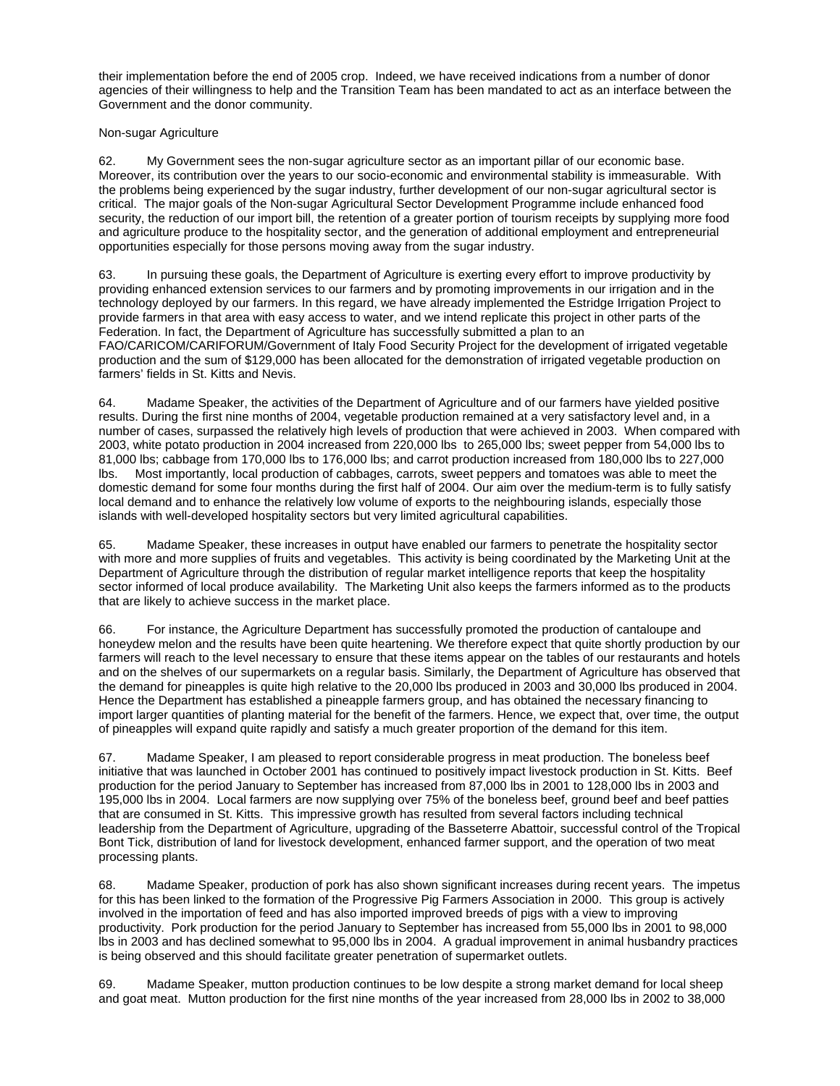their implementation before the end of 2005 crop. Indeed, we have received indications from a number of donor agencies of their willingness to help and the Transition Team has been mandated to act as an interface between the Government and the donor community.

## Non-sugar Agriculture

62. My Government sees the non-sugar agriculture sector as an important pillar of our economic base. Moreover, its contribution over the years to our socio-economic and environmental stability is immeasurable. With the problems being experienced by the sugar industry, further development of our non-sugar agricultural sector is critical. The major goals of the Non-sugar Agricultural Sector Development Programme include enhanced food security, the reduction of our import bill, the retention of a greater portion of tourism receipts by supplying more food and agriculture produce to the hospitality sector, and the generation of additional employment and entrepreneurial opportunities especially for those persons moving away from the sugar industry.

63. In pursuing these goals, the Department of Agriculture is exerting every effort to improve productivity by providing enhanced extension services to our farmers and by promoting improvements in our irrigation and in the technology deployed by our farmers. In this regard, we have already implemented the Estridge Irrigation Project to provide farmers in that area with easy access to water, and we intend replicate this project in other parts of the Federation. In fact, the Department of Agriculture has successfully submitted a plan to an FAO/CARICOM/CARIFORUM/Government of Italy Food Security Project for the development of irrigated vegetable production and the sum of \$129,000 has been allocated for the demonstration of irrigated vegetable production on farmers' fields in St. Kitts and Nevis.

64. Madame Speaker, the activities of the Department of Agriculture and of our farmers have yielded positive results. During the first nine months of 2004, vegetable production remained at a very satisfactory level and, in a number of cases, surpassed the relatively high levels of production that were achieved in 2003. When compared with 2003, white potato production in 2004 increased from 220,000 lbs to 265,000 lbs; sweet pepper from 54,000 lbs to 81,000 lbs; cabbage from 170,000 lbs to 176,000 lbs; and carrot production increased from 180,000 lbs to 227,000 lbs. Most importantly, local production of cabbages, carrots, sweet peppers and tomatoes was able to meet the domestic demand for some four months during the first half of 2004. Our aim over the medium-term is to fully satisfy local demand and to enhance the relatively low volume of exports to the neighbouring islands, especially those islands with well-developed hospitality sectors but very limited agricultural capabilities.

65. Madame Speaker, these increases in output have enabled our farmers to penetrate the hospitality sector with more and more supplies of fruits and vegetables. This activity is being coordinated by the Marketing Unit at the Department of Agriculture through the distribution of regular market intelligence reports that keep the hospitality sector informed of local produce availability. The Marketing Unit also keeps the farmers informed as to the products that are likely to achieve success in the market place.

66. For instance, the Agriculture Department has successfully promoted the production of cantaloupe and honeydew melon and the results have been quite heartening. We therefore expect that quite shortly production by our farmers will reach to the level necessary to ensure that these items appear on the tables of our restaurants and hotels and on the shelves of our supermarkets on a regular basis. Similarly, the Department of Agriculture has observed that the demand for pineapples is quite high relative to the 20,000 lbs produced in 2003 and 30,000 lbs produced in 2004. Hence the Department has established a pineapple farmers group, and has obtained the necessary financing to import larger quantities of planting material for the benefit of the farmers. Hence, we expect that, over time, the output of pineapples will expand quite rapidly and satisfy a much greater proportion of the demand for this item.

67. Madame Speaker, I am pleased to report considerable progress in meat production. The boneless beef initiative that was launched in October 2001 has continued to positively impact livestock production in St. Kitts. Beef production for the period January to September has increased from 87,000 lbs in 2001 to 128,000 lbs in 2003 and 195,000 lbs in 2004. Local farmers are now supplying over 75% of the boneless beef, ground beef and beef patties that are consumed in St. Kitts. This impressive growth has resulted from several factors including technical leadership from the Department of Agriculture, upgrading of the Basseterre Abattoir, successful control of the Tropical Bont Tick, distribution of land for livestock development, enhanced farmer support, and the operation of two meat processing plants.

68. Madame Speaker, production of pork has also shown significant increases during recent years. The impetus for this has been linked to the formation of the Progressive Pig Farmers Association in 2000. This group is actively involved in the importation of feed and has also imported improved breeds of pigs with a view to improving productivity. Pork production for the period January to September has increased from 55,000 lbs in 2001 to 98,000 lbs in 2003 and has declined somewhat to 95,000 lbs in 2004. A gradual improvement in animal husbandry practices is being observed and this should facilitate greater penetration of supermarket outlets.

69. Madame Speaker, mutton production continues to be low despite a strong market demand for local sheep and goat meat. Mutton production for the first nine months of the year increased from 28,000 lbs in 2002 to 38,000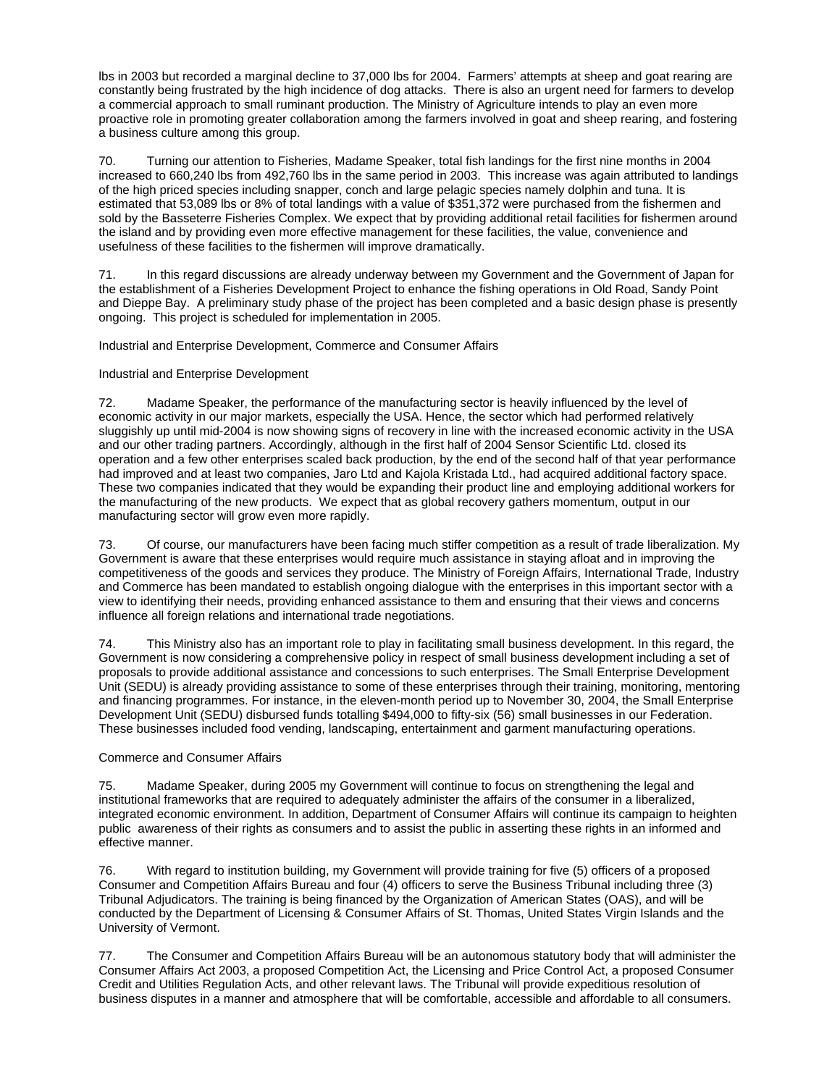lbs in 2003 but recorded a marginal decline to 37,000 lbs for 2004. Farmers' attempts at sheep and goat rearing are constantly being frustrated by the high incidence of dog attacks. There is also an urgent need for farmers to develop a commercial approach to small ruminant production. The Ministry of Agriculture intends to play an even more proactive role in promoting greater collaboration among the farmers involved in goat and sheep rearing, and fostering a business culture among this group.

70. Turning our attention to Fisheries, Madame Speaker, total fish landings for the first nine months in 2004 increased to 660,240 lbs from 492,760 lbs in the same period in 2003. This increase was again attributed to landings of the high priced species including snapper, conch and large pelagic species namely dolphin and tuna. It is estimated that 53,089 lbs or 8% of total landings with a value of \$351,372 were purchased from the fishermen and sold by the Basseterre Fisheries Complex. We expect that by providing additional retail facilities for fishermen around the island and by providing even more effective management for these facilities, the value, convenience and usefulness of these facilities to the fishermen will improve dramatically.

71. In this regard discussions are already underway between my Government and the Government of Japan for the establishment of a Fisheries Development Project to enhance the fishing operations in Old Road, Sandy Point and Dieppe Bay. A preliminary study phase of the project has been completed and a basic design phase is presently ongoing. This project is scheduled for implementation in 2005.

Industrial and Enterprise Development, Commerce and Consumer Affairs

#### Industrial and Enterprise Development

72. Madame Speaker, the performance of the manufacturing sector is heavily influenced by the level of economic activity in our major markets, especially the USA. Hence, the sector which had performed relatively sluggishly up until mid-2004 is now showing signs of recovery in line with the increased economic activity in the USA and our other trading partners. Accordingly, although in the first half of 2004 Sensor Scientific Ltd. closed its operation and a few other enterprises scaled back production, by the end of the second half of that year performance had improved and at least two companies, Jaro Ltd and Kajola Kristada Ltd., had acquired additional factory space. These two companies indicated that they would be expanding their product line and employing additional workers for the manufacturing of the new products. We expect that as global recovery gathers momentum, output in our manufacturing sector will grow even more rapidly.

73. Of course, our manufacturers have been facing much stiffer competition as a result of trade liberalization. My Government is aware that these enterprises would require much assistance in staying afloat and in improving the competitiveness of the goods and services they produce. The Ministry of Foreign Affairs, International Trade, Industry and Commerce has been mandated to establish ongoing dialogue with the enterprises in this important sector with a view to identifying their needs, providing enhanced assistance to them and ensuring that their views and concerns influence all foreign relations and international trade negotiations.

74. This Ministry also has an important role to play in facilitating small business development. In this regard, the Government is now considering a comprehensive policy in respect of small business development including a set of proposals to provide additional assistance and concessions to such enterprises. The Small Enterprise Development Unit (SEDU) is already providing assistance to some of these enterprises through their training, monitoring, mentoring and financing programmes. For instance, in the eleven-month period up to November 30, 2004, the Small Enterprise Development Unit (SEDU) disbursed funds totalling \$494,000 to fifty-six (56) small businesses in our Federation. These businesses included food vending, landscaping, entertainment and garment manufacturing operations.

#### Commerce and Consumer Affairs

75. Madame Speaker, during 2005 my Government will continue to focus on strengthening the legal and institutional frameworks that are required to adequately administer the affairs of the consumer in a liberalized, integrated economic environment. In addition, Department of Consumer Affairs will continue its campaign to heighten public awareness of their rights as consumers and to assist the public in asserting these rights in an informed and effective manner.

76. With regard to institution building, my Government will provide training for five (5) officers of a proposed Consumer and Competition Affairs Bureau and four (4) officers to serve the Business Tribunal including three (3) Tribunal Adjudicators. The training is being financed by the Organization of American States (OAS), and will be conducted by the Department of Licensing & Consumer Affairs of St. Thomas, United States Virgin Islands and the University of Vermont.

77. The Consumer and Competition Affairs Bureau will be an autonomous statutory body that will administer the Consumer Affairs Act 2003, a proposed Competition Act, the Licensing and Price Control Act, a proposed Consumer Credit and Utilities Regulation Acts, and other relevant laws. The Tribunal will provide expeditious resolution of business disputes in a manner and atmosphere that will be comfortable, accessible and affordable to all consumers.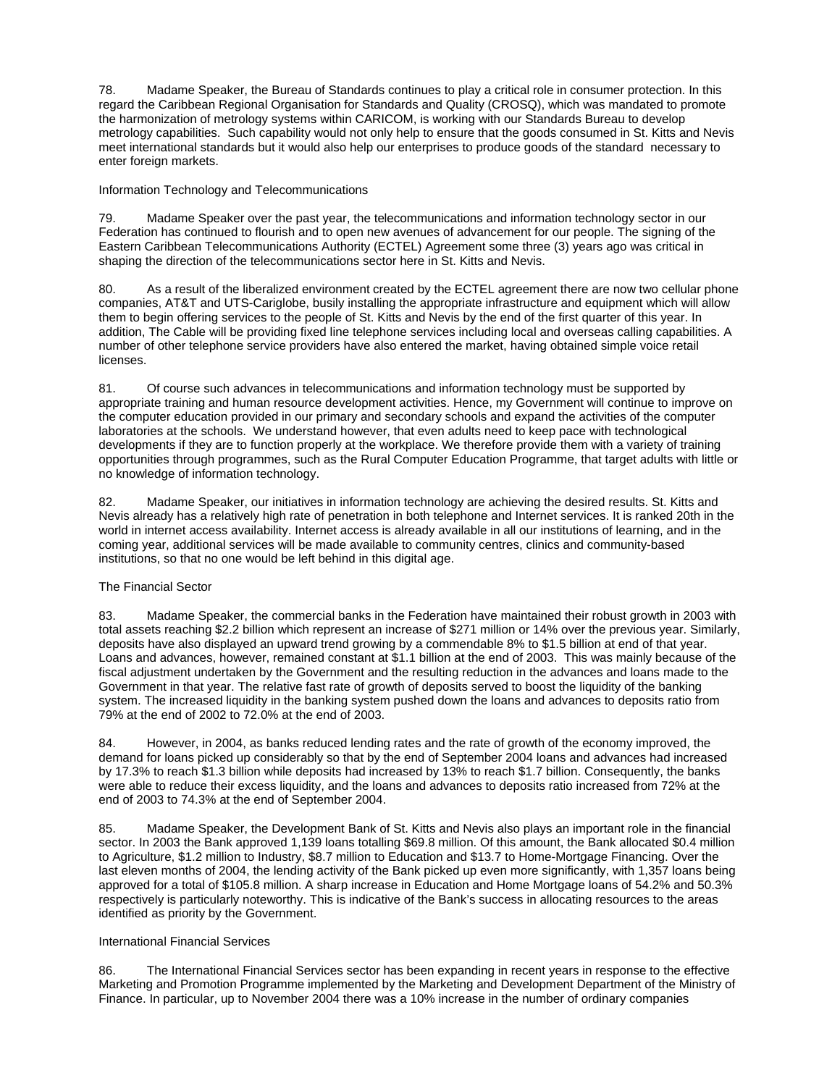78. Madame Speaker, the Bureau of Standards continues to play a critical role in consumer protection. In this regard the Caribbean Regional Organisation for Standards and Quality (CROSQ), which was mandated to promote the harmonization of metrology systems within CARICOM, is working with our Standards Bureau to develop metrology capabilities. Such capability would not only help to ensure that the goods consumed in St. Kitts and Nevis meet international standards but it would also help our enterprises to produce goods of the standard necessary to enter foreign markets.

Information Technology and Telecommunications

79. Madame Speaker over the past year, the telecommunications and information technology sector in our Federation has continued to flourish and to open new avenues of advancement for our people. The signing of the Eastern Caribbean Telecommunications Authority (ECTEL) Agreement some three (3) years ago was critical in shaping the direction of the telecommunications sector here in St. Kitts and Nevis.

80. As a result of the liberalized environment created by the ECTEL agreement there are now two cellular phone companies, AT&T and UTS-Cariglobe, busily installing the appropriate infrastructure and equipment which will allow them to begin offering services to the people of St. Kitts and Nevis by the end of the first quarter of this year. In addition, The Cable will be providing fixed line telephone services including local and overseas calling capabilities. A number of other telephone service providers have also entered the market, having obtained simple voice retail licenses.

81. Of course such advances in telecommunications and information technology must be supported by appropriate training and human resource development activities. Hence, my Government will continue to improve on the computer education provided in our primary and secondary schools and expand the activities of the computer laboratories at the schools. We understand however, that even adults need to keep pace with technological developments if they are to function properly at the workplace. We therefore provide them with a variety of training opportunities through programmes, such as the Rural Computer Education Programme, that target adults with little or no knowledge of information technology.

82. Madame Speaker, our initiatives in information technology are achieving the desired results. St. Kitts and Nevis already has a relatively high rate of penetration in both telephone and Internet services. It is ranked 20th in the world in internet access availability. Internet access is already available in all our institutions of learning, and in the coming year, additional services will be made available to community centres, clinics and community-based institutions, so that no one would be left behind in this digital age.

### The Financial Sector

83. Madame Speaker, the commercial banks in the Federation have maintained their robust growth in 2003 with total assets reaching \$2.2 billion which represent an increase of \$271 million or 14% over the previous year. Similarly, deposits have also displayed an upward trend growing by a commendable 8% to \$1.5 billion at end of that year. Loans and advances, however, remained constant at \$1.1 billion at the end of 2003. This was mainly because of the fiscal adjustment undertaken by the Government and the resulting reduction in the advances and loans made to the Government in that year. The relative fast rate of growth of deposits served to boost the liquidity of the banking system. The increased liquidity in the banking system pushed down the loans and advances to deposits ratio from 79% at the end of 2002 to 72.0% at the end of 2003.

84. However, in 2004, as banks reduced lending rates and the rate of growth of the economy improved, the demand for loans picked up considerably so that by the end of September 2004 loans and advances had increased by 17.3% to reach \$1.3 billion while deposits had increased by 13% to reach \$1.7 billion. Consequently, the banks were able to reduce their excess liquidity, and the loans and advances to deposits ratio increased from 72% at the end of 2003 to 74.3% at the end of September 2004.

85. Madame Speaker, the Development Bank of St. Kitts and Nevis also plays an important role in the financial sector. In 2003 the Bank approved 1,139 loans totalling \$69.8 million. Of this amount, the Bank allocated \$0.4 million to Agriculture, \$1.2 million to Industry, \$8.7 million to Education and \$13.7 to Home-Mortgage Financing. Over the last eleven months of 2004, the lending activity of the Bank picked up even more significantly, with 1,357 loans being approved for a total of \$105.8 million. A sharp increase in Education and Home Mortgage loans of 54.2% and 50.3% respectively is particularly noteworthy. This is indicative of the Bank's success in allocating resources to the areas identified as priority by the Government.

#### International Financial Services

86. The International Financial Services sector has been expanding in recent years in response to the effective Marketing and Promotion Programme implemented by the Marketing and Development Department of the Ministry of Finance. In particular, up to November 2004 there was a 10% increase in the number of ordinary companies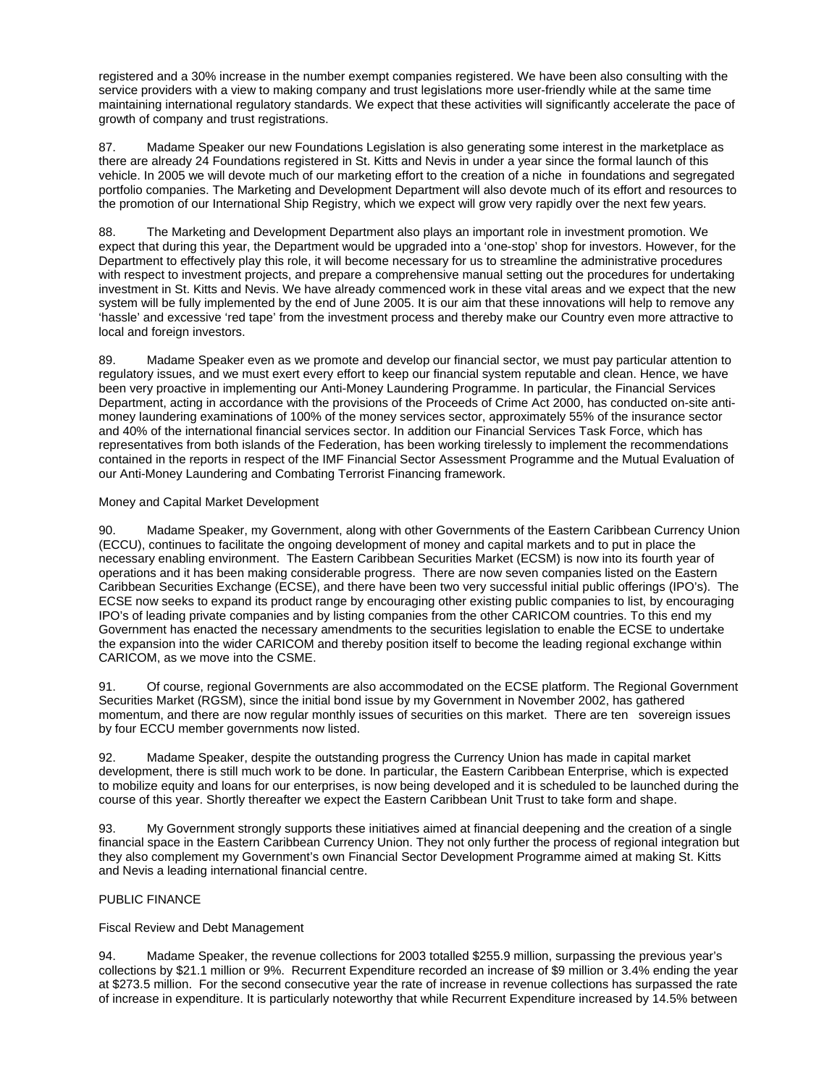registered and a 30% increase in the number exempt companies registered. We have been also consulting with the service providers with a view to making company and trust legislations more user-friendly while at the same time maintaining international regulatory standards. We expect that these activities will significantly accelerate the pace of growth of company and trust registrations.

87. Madame Speaker our new Foundations Legislation is also generating some interest in the marketplace as there are already 24 Foundations registered in St. Kitts and Nevis in under a year since the formal launch of this vehicle. In 2005 we will devote much of our marketing effort to the creation of a niche in foundations and segregated portfolio companies. The Marketing and Development Department will also devote much of its effort and resources to the promotion of our International Ship Registry, which we expect will grow very rapidly over the next few years.

88. The Marketing and Development Department also plays an important role in investment promotion. We expect that during this year, the Department would be upgraded into a 'one-stop' shop for investors. However, for the Department to effectively play this role, it will become necessary for us to streamline the administrative procedures with respect to investment projects, and prepare a comprehensive manual setting out the procedures for undertaking investment in St. Kitts and Nevis. We have already commenced work in these vital areas and we expect that the new system will be fully implemented by the end of June 2005. It is our aim that these innovations will help to remove any 'hassle' and excessive 'red tape' from the investment process and thereby make our Country even more attractive to local and foreign investors.

89. Madame Speaker even as we promote and develop our financial sector, we must pay particular attention to regulatory issues, and we must exert every effort to keep our financial system reputable and clean. Hence, we have been very proactive in implementing our Anti-Money Laundering Programme. In particular, the Financial Services Department, acting in accordance with the provisions of the Proceeds of Crime Act 2000, has conducted on-site antimoney laundering examinations of 100% of the money services sector, approximately 55% of the insurance sector and 40% of the international financial services sector. In addition our Financial Services Task Force, which has representatives from both islands of the Federation, has been working tirelessly to implement the recommendations contained in the reports in respect of the IMF Financial Sector Assessment Programme and the Mutual Evaluation of our Anti-Money Laundering and Combating Terrorist Financing framework.

### Money and Capital Market Development

90. Madame Speaker, my Government, along with other Governments of the Eastern Caribbean Currency Union (ECCU), continues to facilitate the ongoing development of money and capital markets and to put in place the necessary enabling environment. The Eastern Caribbean Securities Market (ECSM) is now into its fourth year of operations and it has been making considerable progress. There are now seven companies listed on the Eastern Caribbean Securities Exchange (ECSE), and there have been two very successful initial public offerings (IPO's). The ECSE now seeks to expand its product range by encouraging other existing public companies to list, by encouraging IPO's of leading private companies and by listing companies from the other CARICOM countries. To this end my Government has enacted the necessary amendments to the securities legislation to enable the ECSE to undertake the expansion into the wider CARICOM and thereby position itself to become the leading regional exchange within CARICOM, as we move into the CSME.

91. Of course, regional Governments are also accommodated on the ECSE platform. The Regional Government Securities Market (RGSM), since the initial bond issue by my Government in November 2002, has gathered momentum, and there are now regular monthly issues of securities on this market. There are ten sovereign issues by four ECCU member governments now listed.

92. Madame Speaker, despite the outstanding progress the Currency Union has made in capital market development, there is still much work to be done. In particular, the Eastern Caribbean Enterprise, which is expected to mobilize equity and loans for our enterprises, is now being developed and it is scheduled to be launched during the course of this year. Shortly thereafter we expect the Eastern Caribbean Unit Trust to take form and shape.

93. My Government strongly supports these initiatives aimed at financial deepening and the creation of a single financial space in the Eastern Caribbean Currency Union. They not only further the process of regional integration but they also complement my Government's own Financial Sector Development Programme aimed at making St. Kitts and Nevis a leading international financial centre.

## PUBLIC FINANCE

Fiscal Review and Debt Management

94. Madame Speaker, the revenue collections for 2003 totalled \$255.9 million, surpassing the previous year's collections by \$21.1 million or 9%. Recurrent Expenditure recorded an increase of \$9 million or 3.4% ending the year at \$273.5 million. For the second consecutive year the rate of increase in revenue collections has surpassed the rate of increase in expenditure. It is particularly noteworthy that while Recurrent Expenditure increased by 14.5% between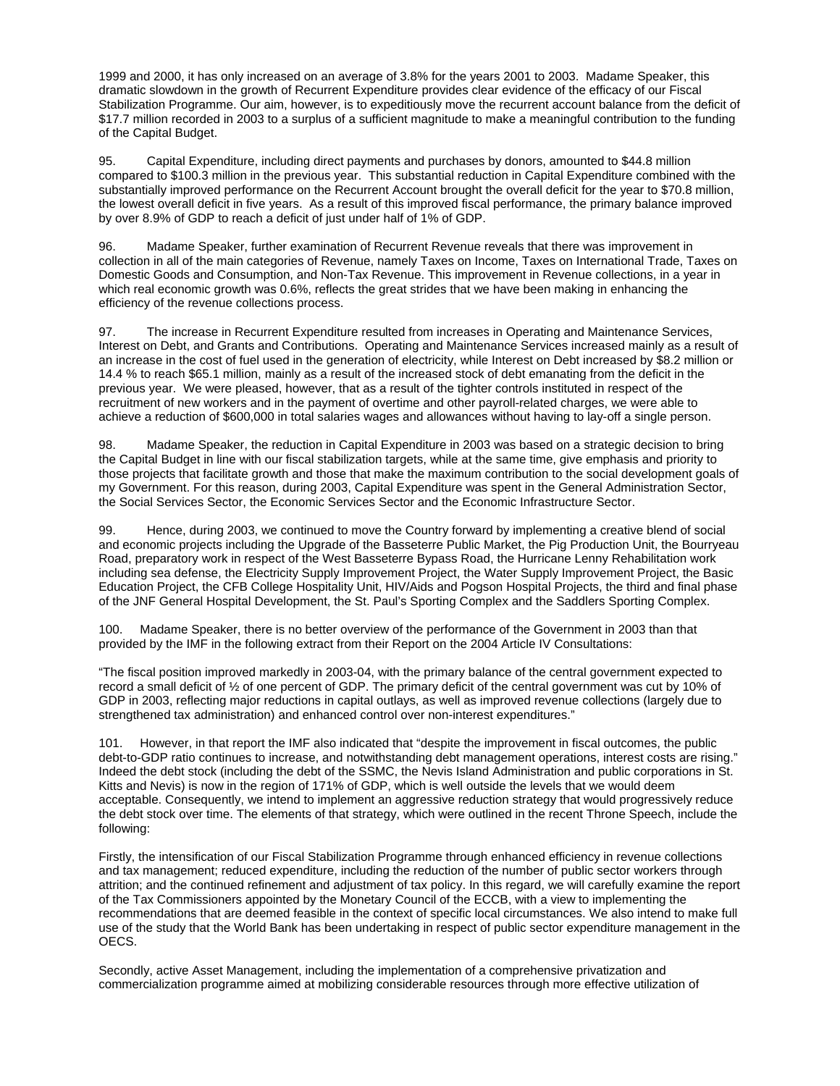1999 and 2000, it has only increased on an average of 3.8% for the years 2001 to 2003. Madame Speaker, this dramatic slowdown in the growth of Recurrent Expenditure provides clear evidence of the efficacy of our Fiscal Stabilization Programme. Our aim, however, is to expeditiously move the recurrent account balance from the deficit of \$17.7 million recorded in 2003 to a surplus of a sufficient magnitude to make a meaningful contribution to the funding of the Capital Budget.

95. Capital Expenditure, including direct payments and purchases by donors, amounted to \$44.8 million compared to \$100.3 million in the previous year. This substantial reduction in Capital Expenditure combined with the substantially improved performance on the Recurrent Account brought the overall deficit for the year to \$70.8 million, the lowest overall deficit in five years. As a result of this improved fiscal performance, the primary balance improved by over 8.9% of GDP to reach a deficit of just under half of 1% of GDP.

96. Madame Speaker, further examination of Recurrent Revenue reveals that there was improvement in collection in all of the main categories of Revenue, namely Taxes on Income, Taxes on International Trade, Taxes on Domestic Goods and Consumption, and Non-Tax Revenue. This improvement in Revenue collections, in a year in which real economic growth was 0.6%, reflects the great strides that we have been making in enhancing the efficiency of the revenue collections process.

97. The increase in Recurrent Expenditure resulted from increases in Operating and Maintenance Services, Interest on Debt, and Grants and Contributions. Operating and Maintenance Services increased mainly as a result of an increase in the cost of fuel used in the generation of electricity, while Interest on Debt increased by \$8.2 million or 14.4 % to reach \$65.1 million, mainly as a result of the increased stock of debt emanating from the deficit in the previous year. We were pleased, however, that as a result of the tighter controls instituted in respect of the recruitment of new workers and in the payment of overtime and other payroll-related charges, we were able to achieve a reduction of \$600,000 in total salaries wages and allowances without having to lay-off a single person.

98. Madame Speaker, the reduction in Capital Expenditure in 2003 was based on a strategic decision to bring the Capital Budget in line with our fiscal stabilization targets, while at the same time, give emphasis and priority to those projects that facilitate growth and those that make the maximum contribution to the social development goals of my Government. For this reason, during 2003, Capital Expenditure was spent in the General Administration Sector, the Social Services Sector, the Economic Services Sector and the Economic Infrastructure Sector.

99. Hence, during 2003, we continued to move the Country forward by implementing a creative blend of social and economic projects including the Upgrade of the Basseterre Public Market, the Pig Production Unit, the Bourryeau Road, preparatory work in respect of the West Basseterre Bypass Road, the Hurricane Lenny Rehabilitation work including sea defense, the Electricity Supply Improvement Project, the Water Supply Improvement Project, the Basic Education Project, the CFB College Hospitality Unit, HIV/Aids and Pogson Hospital Projects, the third and final phase of the JNF General Hospital Development, the St. Paul's Sporting Complex and the Saddlers Sporting Complex.

100. Madame Speaker, there is no better overview of the performance of the Government in 2003 than that provided by the IMF in the following extract from their Report on the 2004 Article IV Consultations:

"The fiscal position improved markedly in 2003-04, with the primary balance of the central government expected to record a small deficit of ½ of one percent of GDP. The primary deficit of the central government was cut by 10% of GDP in 2003, reflecting major reductions in capital outlays, as well as improved revenue collections (largely due to strengthened tax administration) and enhanced control over non-interest expenditures."

101. However, in that report the IMF also indicated that "despite the improvement in fiscal outcomes, the public debt-to-GDP ratio continues to increase, and notwithstanding debt management operations, interest costs are rising." Indeed the debt stock (including the debt of the SSMC, the Nevis Island Administration and public corporations in St. Kitts and Nevis) is now in the region of 171% of GDP, which is well outside the levels that we would deem acceptable. Consequently, we intend to implement an aggressive reduction strategy that would progressively reduce the debt stock over time. The elements of that strategy, which were outlined in the recent Throne Speech, include the following:

Firstly, the intensification of our Fiscal Stabilization Programme through enhanced efficiency in revenue collections and tax management; reduced expenditure, including the reduction of the number of public sector workers through attrition; and the continued refinement and adjustment of tax policy. In this regard, we will carefully examine the report of the Tax Commissioners appointed by the Monetary Council of the ECCB, with a view to implementing the recommendations that are deemed feasible in the context of specific local circumstances. We also intend to make full use of the study that the World Bank has been undertaking in respect of public sector expenditure management in the OECS.

Secondly, active Asset Management, including the implementation of a comprehensive privatization and commercialization programme aimed at mobilizing considerable resources through more effective utilization of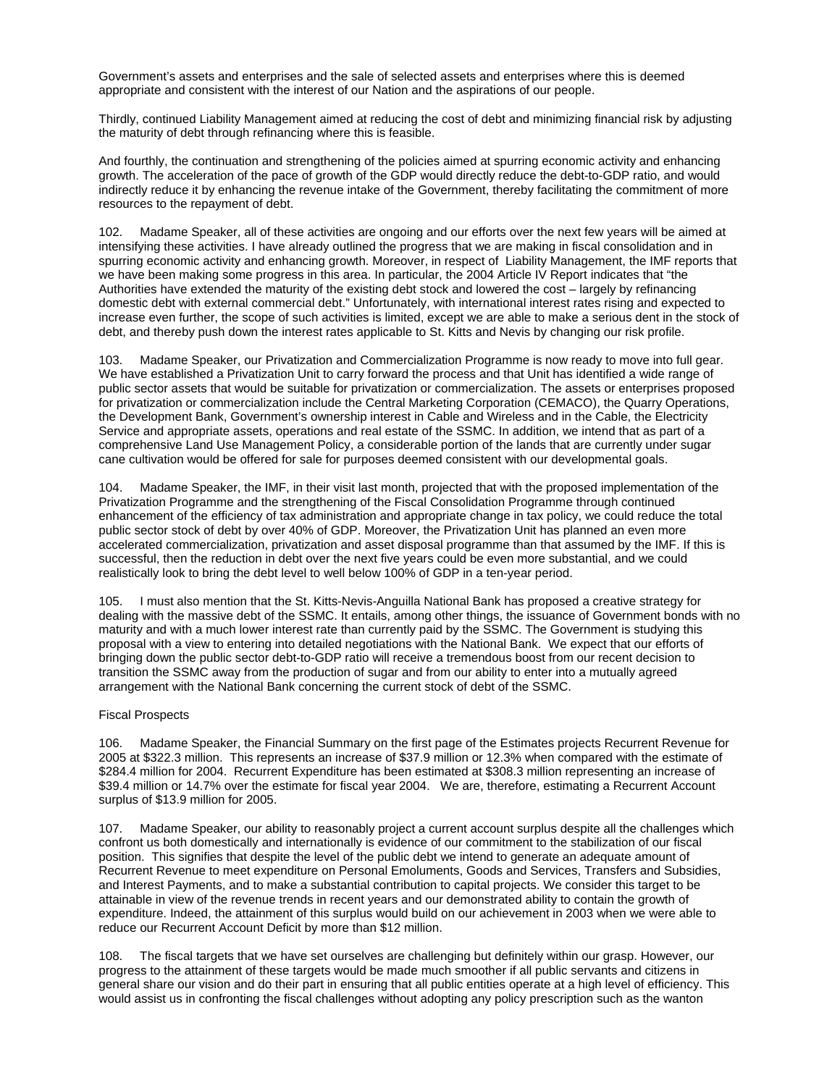Government's assets and enterprises and the sale of selected assets and enterprises where this is deemed appropriate and consistent with the interest of our Nation and the aspirations of our people.

Thirdly, continued Liability Management aimed at reducing the cost of debt and minimizing financial risk by adjusting the maturity of debt through refinancing where this is feasible.

And fourthly, the continuation and strengthening of the policies aimed at spurring economic activity and enhancing growth. The acceleration of the pace of growth of the GDP would directly reduce the debt-to-GDP ratio, and would indirectly reduce it by enhancing the revenue intake of the Government, thereby facilitating the commitment of more resources to the repayment of debt.

102. Madame Speaker, all of these activities are ongoing and our efforts over the next few years will be aimed at intensifying these activities. I have already outlined the progress that we are making in fiscal consolidation and in spurring economic activity and enhancing growth. Moreover, in respect of Liability Management, the IMF reports that we have been making some progress in this area. In particular, the 2004 Article IV Report indicates that "the Authorities have extended the maturity of the existing debt stock and lowered the cost – largely by refinancing domestic debt with external commercial debt." Unfortunately, with international interest rates rising and expected to increase even further, the scope of such activities is limited, except we are able to make a serious dent in the stock of debt, and thereby push down the interest rates applicable to St. Kitts and Nevis by changing our risk profile.

103. Madame Speaker, our Privatization and Commercialization Programme is now ready to move into full gear. We have established a Privatization Unit to carry forward the process and that Unit has identified a wide range of public sector assets that would be suitable for privatization or commercialization. The assets or enterprises proposed for privatization or commercialization include the Central Marketing Corporation (CEMACO), the Quarry Operations, the Development Bank, Government's ownership interest in Cable and Wireless and in the Cable, the Electricity Service and appropriate assets, operations and real estate of the SSMC. In addition, we intend that as part of a comprehensive Land Use Management Policy, a considerable portion of the lands that are currently under sugar cane cultivation would be offered for sale for purposes deemed consistent with our developmental goals.

104. Madame Speaker, the IMF, in their visit last month, projected that with the proposed implementation of the Privatization Programme and the strengthening of the Fiscal Consolidation Programme through continued enhancement of the efficiency of tax administration and appropriate change in tax policy, we could reduce the total public sector stock of debt by over 40% of GDP. Moreover, the Privatization Unit has planned an even more accelerated commercialization, privatization and asset disposal programme than that assumed by the IMF. If this is successful, then the reduction in debt over the next five years could be even more substantial, and we could realistically look to bring the debt level to well below 100% of GDP in a ten-year period.

105. I must also mention that the St. Kitts-Nevis-Anguilla National Bank has proposed a creative strategy for dealing with the massive debt of the SSMC. It entails, among other things, the issuance of Government bonds with no maturity and with a much lower interest rate than currently paid by the SSMC. The Government is studying this proposal with a view to entering into detailed negotiations with the National Bank. We expect that our efforts of bringing down the public sector debt-to-GDP ratio will receive a tremendous boost from our recent decision to transition the SSMC away from the production of sugar and from our ability to enter into a mutually agreed arrangement with the National Bank concerning the current stock of debt of the SSMC.

### Fiscal Prospects

106. Madame Speaker, the Financial Summary on the first page of the Estimates projects Recurrent Revenue for 2005 at \$322.3 million. This represents an increase of \$37.9 million or 12.3% when compared with the estimate of \$284.4 million for 2004. Recurrent Expenditure has been estimated at \$308.3 million representing an increase of \$39.4 million or 14.7% over the estimate for fiscal year 2004. We are, therefore, estimating a Recurrent Account surplus of \$13.9 million for 2005.

107. Madame Speaker, our ability to reasonably project a current account surplus despite all the challenges which confront us both domestically and internationally is evidence of our commitment to the stabilization of our fiscal position. This signifies that despite the level of the public debt we intend to generate an adequate amount of Recurrent Revenue to meet expenditure on Personal Emoluments, Goods and Services, Transfers and Subsidies, and Interest Payments, and to make a substantial contribution to capital projects. We consider this target to be attainable in view of the revenue trends in recent years and our demonstrated ability to contain the growth of expenditure. Indeed, the attainment of this surplus would build on our achievement in 2003 when we were able to reduce our Recurrent Account Deficit by more than \$12 million.

108. The fiscal targets that we have set ourselves are challenging but definitely within our grasp. However, our progress to the attainment of these targets would be made much smoother if all public servants and citizens in general share our vision and do their part in ensuring that all public entities operate at a high level of efficiency. This would assist us in confronting the fiscal challenges without adopting any policy prescription such as the wanton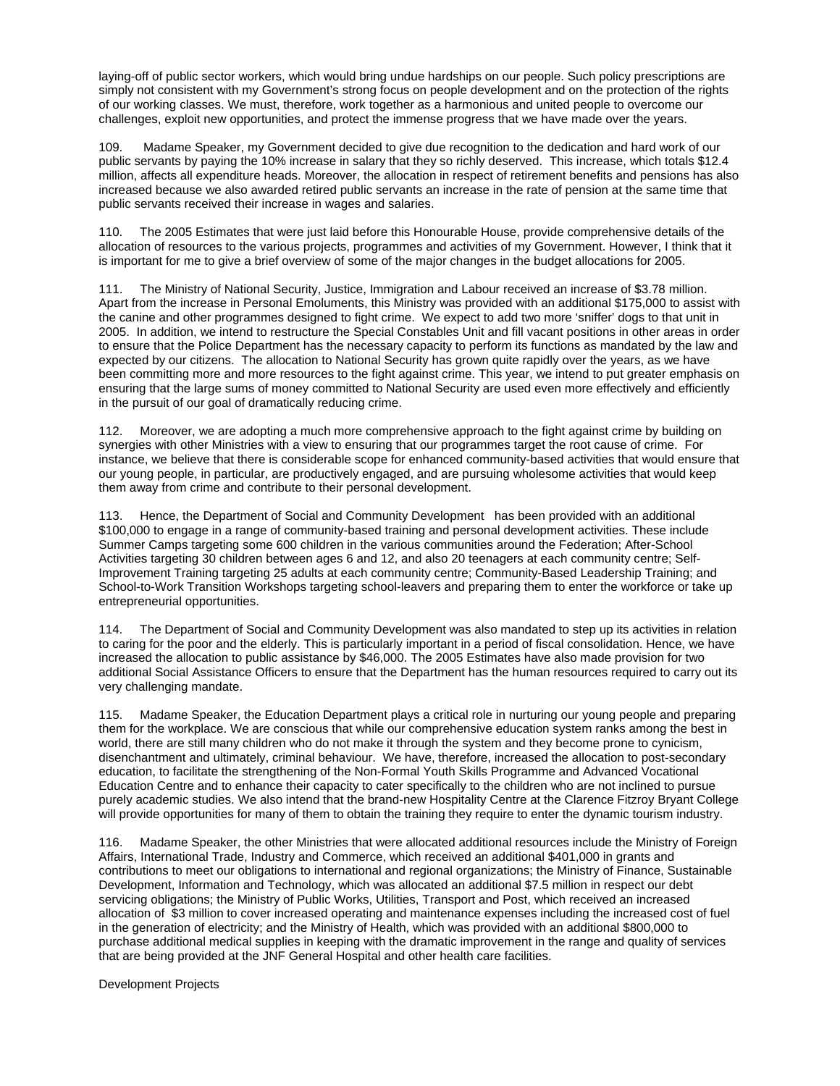laying-off of public sector workers, which would bring undue hardships on our people. Such policy prescriptions are simply not consistent with my Government's strong focus on people development and on the protection of the rights of our working classes. We must, therefore, work together as a harmonious and united people to overcome our challenges, exploit new opportunities, and protect the immense progress that we have made over the years.

109. Madame Speaker, my Government decided to give due recognition to the dedication and hard work of our public servants by paying the 10% increase in salary that they so richly deserved. This increase, which totals \$12.4 million, affects all expenditure heads. Moreover, the allocation in respect of retirement benefits and pensions has also increased because we also awarded retired public servants an increase in the rate of pension at the same time that public servants received their increase in wages and salaries.

110. The 2005 Estimates that were just laid before this Honourable House, provide comprehensive details of the allocation of resources to the various projects, programmes and activities of my Government. However, I think that it is important for me to give a brief overview of some of the major changes in the budget allocations for 2005.

111. The Ministry of National Security, Justice, Immigration and Labour received an increase of \$3.78 million. Apart from the increase in Personal Emoluments, this Ministry was provided with an additional \$175,000 to assist with the canine and other programmes designed to fight crime. We expect to add two more 'sniffer' dogs to that unit in 2005. In addition, we intend to restructure the Special Constables Unit and fill vacant positions in other areas in order to ensure that the Police Department has the necessary capacity to perform its functions as mandated by the law and expected by our citizens. The allocation to National Security has grown quite rapidly over the years, as we have been committing more and more resources to the fight against crime. This year, we intend to put greater emphasis on ensuring that the large sums of money committed to National Security are used even more effectively and efficiently in the pursuit of our goal of dramatically reducing crime.

112. Moreover, we are adopting a much more comprehensive approach to the fight against crime by building on synergies with other Ministries with a view to ensuring that our programmes target the root cause of crime. For instance, we believe that there is considerable scope for enhanced community-based activities that would ensure that our young people, in particular, are productively engaged, and are pursuing wholesome activities that would keep them away from crime and contribute to their personal development.

113. Hence, the Department of Social and Community Development has been provided with an additional \$100,000 to engage in a range of community-based training and personal development activities. These include Summer Camps targeting some 600 children in the various communities around the Federation; After-School Activities targeting 30 children between ages 6 and 12, and also 20 teenagers at each community centre; Self-Improvement Training targeting 25 adults at each community centre; Community-Based Leadership Training; and School-to-Work Transition Workshops targeting school-leavers and preparing them to enter the workforce or take up entrepreneurial opportunities.

114. The Department of Social and Community Development was also mandated to step up its activities in relation to caring for the poor and the elderly. This is particularly important in a period of fiscal consolidation. Hence, we have increased the allocation to public assistance by \$46,000. The 2005 Estimates have also made provision for two additional Social Assistance Officers to ensure that the Department has the human resources required to carry out its very challenging mandate.

115. Madame Speaker, the Education Department plays a critical role in nurturing our young people and preparing them for the workplace. We are conscious that while our comprehensive education system ranks among the best in world, there are still many children who do not make it through the system and they become prone to cynicism, disenchantment and ultimately, criminal behaviour. We have, therefore, increased the allocation to post-secondary education, to facilitate the strengthening of the Non-Formal Youth Skills Programme and Advanced Vocational Education Centre and to enhance their capacity to cater specifically to the children who are not inclined to pursue purely academic studies. We also intend that the brand-new Hospitality Centre at the Clarence Fitzroy Bryant College will provide opportunities for many of them to obtain the training they require to enter the dynamic tourism industry.

116. Madame Speaker, the other Ministries that were allocated additional resources include the Ministry of Foreign Affairs, International Trade, Industry and Commerce, which received an additional \$401,000 in grants and contributions to meet our obligations to international and regional organizations; the Ministry of Finance, Sustainable Development, Information and Technology, which was allocated an additional \$7.5 million in respect our debt servicing obligations; the Ministry of Public Works, Utilities, Transport and Post, which received an increased allocation of \$3 million to cover increased operating and maintenance expenses including the increased cost of fuel in the generation of electricity; and the Ministry of Health, which was provided with an additional \$800,000 to purchase additional medical supplies in keeping with the dramatic improvement in the range and quality of services that are being provided at the JNF General Hospital and other health care facilities.

Development Projects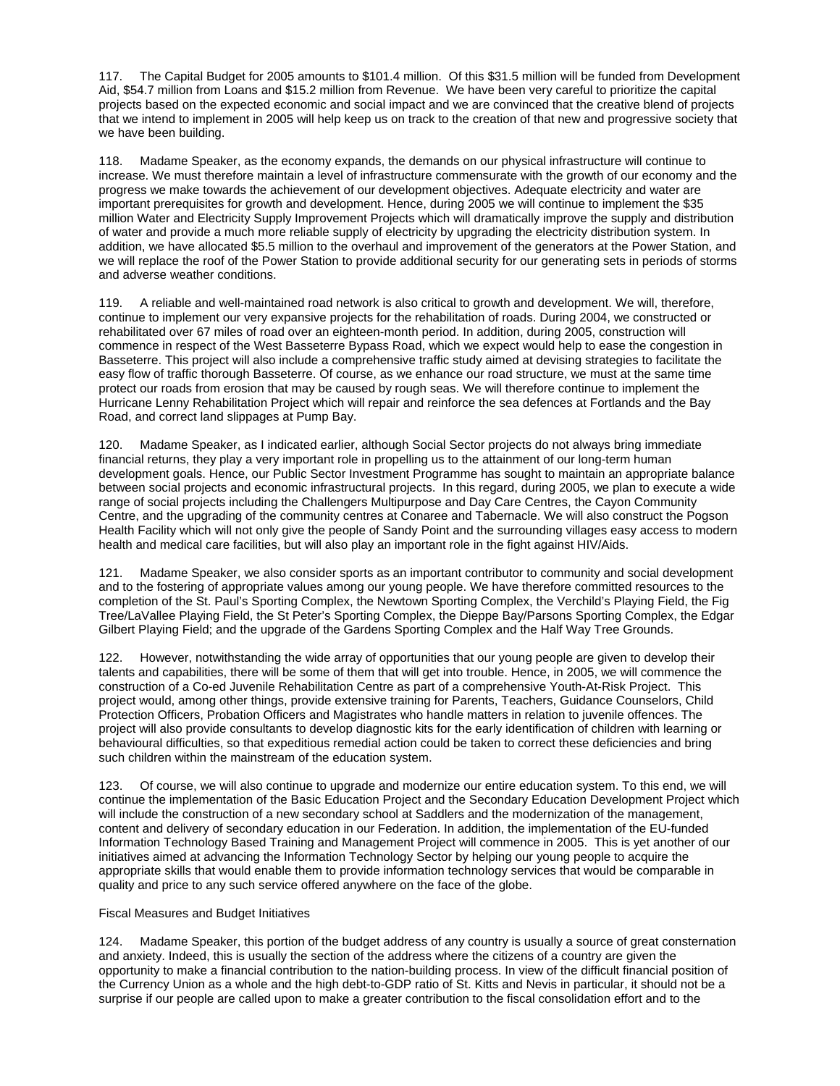117. The Capital Budget for 2005 amounts to \$101.4 million. Of this \$31.5 million will be funded from Development Aid, \$54.7 million from Loans and \$15.2 million from Revenue. We have been very careful to prioritize the capital projects based on the expected economic and social impact and we are convinced that the creative blend of projects that we intend to implement in 2005 will help keep us on track to the creation of that new and progressive society that we have been building.

118. Madame Speaker, as the economy expands, the demands on our physical infrastructure will continue to increase. We must therefore maintain a level of infrastructure commensurate with the growth of our economy and the progress we make towards the achievement of our development objectives. Adequate electricity and water are important prerequisites for growth and development. Hence, during 2005 we will continue to implement the \$35 million Water and Electricity Supply Improvement Projects which will dramatically improve the supply and distribution of water and provide a much more reliable supply of electricity by upgrading the electricity distribution system. In addition, we have allocated \$5.5 million to the overhaul and improvement of the generators at the Power Station, and we will replace the roof of the Power Station to provide additional security for our generating sets in periods of storms and adverse weather conditions.

119. A reliable and well-maintained road network is also critical to growth and development. We will, therefore, continue to implement our very expansive projects for the rehabilitation of roads. During 2004, we constructed or rehabilitated over 67 miles of road over an eighteen-month period. In addition, during 2005, construction will commence in respect of the West Basseterre Bypass Road, which we expect would help to ease the congestion in Basseterre. This project will also include a comprehensive traffic study aimed at devising strategies to facilitate the easy flow of traffic thorough Basseterre. Of course, as we enhance our road structure, we must at the same time protect our roads from erosion that may be caused by rough seas. We will therefore continue to implement the Hurricane Lenny Rehabilitation Project which will repair and reinforce the sea defences at Fortlands and the Bay Road, and correct land slippages at Pump Bay.

120. Madame Speaker, as I indicated earlier, although Social Sector projects do not always bring immediate financial returns, they play a very important role in propelling us to the attainment of our long-term human development goals. Hence, our Public Sector Investment Programme has sought to maintain an appropriate balance between social projects and economic infrastructural projects. In this regard, during 2005, we plan to execute a wide range of social projects including the Challengers Multipurpose and Day Care Centres, the Cayon Community Centre, and the upgrading of the community centres at Conaree and Tabernacle. We will also construct the Pogson Health Facility which will not only give the people of Sandy Point and the surrounding villages easy access to modern health and medical care facilities, but will also play an important role in the fight against HIV/Aids.

121. Madame Speaker, we also consider sports as an important contributor to community and social development and to the fostering of appropriate values among our young people. We have therefore committed resources to the completion of the St. Paul's Sporting Complex, the Newtown Sporting Complex, the Verchild's Playing Field, the Fig Tree/LaVallee Playing Field, the St Peter's Sporting Complex, the Dieppe Bay/Parsons Sporting Complex, the Edgar Gilbert Playing Field; and the upgrade of the Gardens Sporting Complex and the Half Way Tree Grounds.

122. However, notwithstanding the wide array of opportunities that our young people are given to develop their talents and capabilities, there will be some of them that will get into trouble. Hence, in 2005, we will commence the construction of a Co-ed Juvenile Rehabilitation Centre as part of a comprehensive Youth-At-Risk Project. This project would, among other things, provide extensive training for Parents, Teachers, Guidance Counselors, Child Protection Officers, Probation Officers and Magistrates who handle matters in relation to juvenile offences. The project will also provide consultants to develop diagnostic kits for the early identification of children with learning or behavioural difficulties, so that expeditious remedial action could be taken to correct these deficiencies and bring such children within the mainstream of the education system.

123. Of course, we will also continue to upgrade and modernize our entire education system. To this end, we will continue the implementation of the Basic Education Project and the Secondary Education Development Project which will include the construction of a new secondary school at Saddlers and the modernization of the management, content and delivery of secondary education in our Federation. In addition, the implementation of the EU-funded Information Technology Based Training and Management Project will commence in 2005. This is yet another of our initiatives aimed at advancing the Information Technology Sector by helping our young people to acquire the appropriate skills that would enable them to provide information technology services that would be comparable in quality and price to any such service offered anywhere on the face of the globe.

### Fiscal Measures and Budget Initiatives

124. Madame Speaker, this portion of the budget address of any country is usually a source of great consternation and anxiety. Indeed, this is usually the section of the address where the citizens of a country are given the opportunity to make a financial contribution to the nation-building process. In view of the difficult financial position of the Currency Union as a whole and the high debt-to-GDP ratio of St. Kitts and Nevis in particular, it should not be a surprise if our people are called upon to make a greater contribution to the fiscal consolidation effort and to the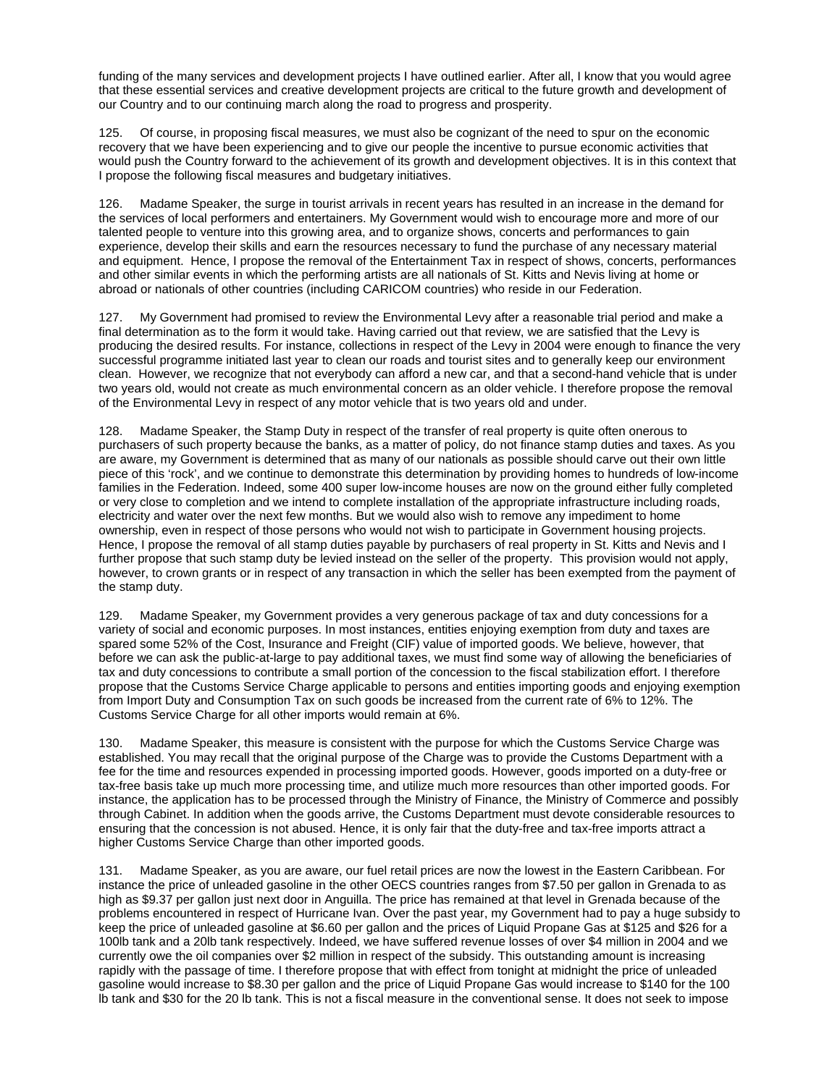funding of the many services and development projects I have outlined earlier. After all, I know that you would agree that these essential services and creative development projects are critical to the future growth and development of our Country and to our continuing march along the road to progress and prosperity.

125. Of course, in proposing fiscal measures, we must also be cognizant of the need to spur on the economic recovery that we have been experiencing and to give our people the incentive to pursue economic activities that would push the Country forward to the achievement of its growth and development objectives. It is in this context that I propose the following fiscal measures and budgetary initiatives.

126. Madame Speaker, the surge in tourist arrivals in recent years has resulted in an increase in the demand for the services of local performers and entertainers. My Government would wish to encourage more and more of our talented people to venture into this growing area, and to organize shows, concerts and performances to gain experience, develop their skills and earn the resources necessary to fund the purchase of any necessary material and equipment. Hence, I propose the removal of the Entertainment Tax in respect of shows, concerts, performances and other similar events in which the performing artists are all nationals of St. Kitts and Nevis living at home or abroad or nationals of other countries (including CARICOM countries) who reside in our Federation.

127. My Government had promised to review the Environmental Levy after a reasonable trial period and make a final determination as to the form it would take. Having carried out that review, we are satisfied that the Levy is producing the desired results. For instance, collections in respect of the Levy in 2004 were enough to finance the very successful programme initiated last year to clean our roads and tourist sites and to generally keep our environment clean. However, we recognize that not everybody can afford a new car, and that a second-hand vehicle that is under two years old, would not create as much environmental concern as an older vehicle. I therefore propose the removal of the Environmental Levy in respect of any motor vehicle that is two years old and under.

128. Madame Speaker, the Stamp Duty in respect of the transfer of real property is quite often onerous to purchasers of such property because the banks, as a matter of policy, do not finance stamp duties and taxes. As you are aware, my Government is determined that as many of our nationals as possible should carve out their own little piece of this 'rock', and we continue to demonstrate this determination by providing homes to hundreds of low-income families in the Federation. Indeed, some 400 super low-income houses are now on the ground either fully completed or very close to completion and we intend to complete installation of the appropriate infrastructure including roads, electricity and water over the next few months. But we would also wish to remove any impediment to home ownership, even in respect of those persons who would not wish to participate in Government housing projects. Hence, I propose the removal of all stamp duties payable by purchasers of real property in St. Kitts and Nevis and I further propose that such stamp duty be levied instead on the seller of the property. This provision would not apply, however, to crown grants or in respect of any transaction in which the seller has been exempted from the payment of the stamp duty.

129. Madame Speaker, my Government provides a very generous package of tax and duty concessions for a variety of social and economic purposes. In most instances, entities enjoying exemption from duty and taxes are spared some 52% of the Cost, Insurance and Freight (CIF) value of imported goods. We believe, however, that before we can ask the public-at-large to pay additional taxes, we must find some way of allowing the beneficiaries of tax and duty concessions to contribute a small portion of the concession to the fiscal stabilization effort. I therefore propose that the Customs Service Charge applicable to persons and entities importing goods and enjoying exemption from Import Duty and Consumption Tax on such goods be increased from the current rate of 6% to 12%. The Customs Service Charge for all other imports would remain at 6%.

130. Madame Speaker, this measure is consistent with the purpose for which the Customs Service Charge was established. You may recall that the original purpose of the Charge was to provide the Customs Department with a fee for the time and resources expended in processing imported goods. However, goods imported on a duty-free or tax-free basis take up much more processing time, and utilize much more resources than other imported goods. For instance, the application has to be processed through the Ministry of Finance, the Ministry of Commerce and possibly through Cabinet. In addition when the goods arrive, the Customs Department must devote considerable resources to ensuring that the concession is not abused. Hence, it is only fair that the duty-free and tax-free imports attract a higher Customs Service Charge than other imported goods.

131. Madame Speaker, as you are aware, our fuel retail prices are now the lowest in the Eastern Caribbean. For instance the price of unleaded gasoline in the other OECS countries ranges from \$7.50 per gallon in Grenada to as high as \$9.37 per gallon just next door in Anguilla. The price has remained at that level in Grenada because of the problems encountered in respect of Hurricane Ivan. Over the past year, my Government had to pay a huge subsidy to keep the price of unleaded gasoline at \$6.60 per gallon and the prices of Liquid Propane Gas at \$125 and \$26 for a 100lb tank and a 20lb tank respectively. Indeed, we have suffered revenue losses of over \$4 million in 2004 and we currently owe the oil companies over \$2 million in respect of the subsidy. This outstanding amount is increasing rapidly with the passage of time. I therefore propose that with effect from tonight at midnight the price of unleaded gasoline would increase to \$8.30 per gallon and the price of Liquid Propane Gas would increase to \$140 for the 100 lb tank and \$30 for the 20 lb tank. This is not a fiscal measure in the conventional sense. It does not seek to impose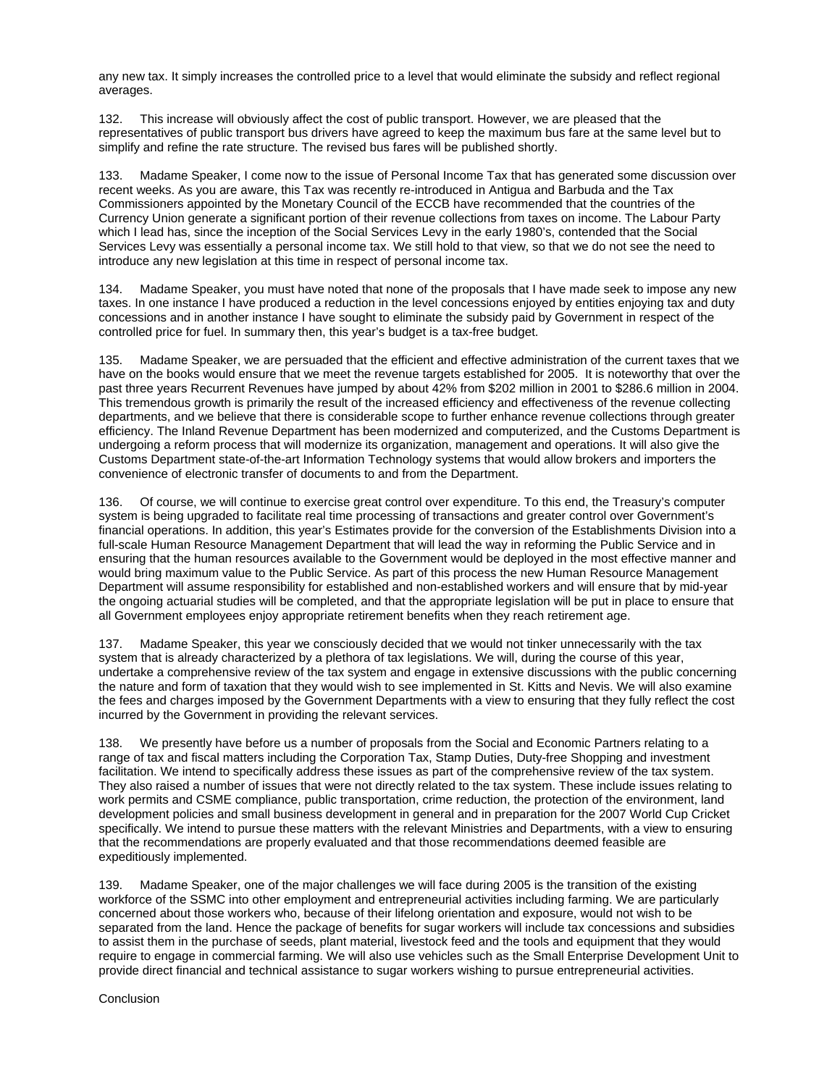any new tax. It simply increases the controlled price to a level that would eliminate the subsidy and reflect regional averages.

132. This increase will obviously affect the cost of public transport. However, we are pleased that the representatives of public transport bus drivers have agreed to keep the maximum bus fare at the same level but to simplify and refine the rate structure. The revised bus fares will be published shortly.

133. Madame Speaker, I come now to the issue of Personal Income Tax that has generated some discussion over recent weeks. As you are aware, this Tax was recently re-introduced in Antigua and Barbuda and the Tax Commissioners appointed by the Monetary Council of the ECCB have recommended that the countries of the Currency Union generate a significant portion of their revenue collections from taxes on income. The Labour Party which I lead has, since the inception of the Social Services Levy in the early 1980's, contended that the Social Services Levy was essentially a personal income tax. We still hold to that view, so that we do not see the need to introduce any new legislation at this time in respect of personal income tax.

134. Madame Speaker, you must have noted that none of the proposals that I have made seek to impose any new taxes. In one instance I have produced a reduction in the level concessions enjoyed by entities enjoying tax and duty concessions and in another instance I have sought to eliminate the subsidy paid by Government in respect of the controlled price for fuel. In summary then, this year's budget is a tax-free budget.

135. Madame Speaker, we are persuaded that the efficient and effective administration of the current taxes that we have on the books would ensure that we meet the revenue targets established for 2005. It is noteworthy that over the past three years Recurrent Revenues have jumped by about 42% from \$202 million in 2001 to \$286.6 million in 2004. This tremendous growth is primarily the result of the increased efficiency and effectiveness of the revenue collecting departments, and we believe that there is considerable scope to further enhance revenue collections through greater efficiency. The Inland Revenue Department has been modernized and computerized, and the Customs Department is undergoing a reform process that will modernize its organization, management and operations. It will also give the Customs Department state-of-the-art Information Technology systems that would allow brokers and importers the convenience of electronic transfer of documents to and from the Department.

136. Of course, we will continue to exercise great control over expenditure. To this end, the Treasury's computer system is being upgraded to facilitate real time processing of transactions and greater control over Government's financial operations. In addition, this year's Estimates provide for the conversion of the Establishments Division into a full-scale Human Resource Management Department that will lead the way in reforming the Public Service and in ensuring that the human resources available to the Government would be deployed in the most effective manner and would bring maximum value to the Public Service. As part of this process the new Human Resource Management Department will assume responsibility for established and non-established workers and will ensure that by mid-year the ongoing actuarial studies will be completed, and that the appropriate legislation will be put in place to ensure that all Government employees enjoy appropriate retirement benefits when they reach retirement age.

137. Madame Speaker, this year we consciously decided that we would not tinker unnecessarily with the tax system that is already characterized by a plethora of tax legislations. We will, during the course of this year, undertake a comprehensive review of the tax system and engage in extensive discussions with the public concerning the nature and form of taxation that they would wish to see implemented in St. Kitts and Nevis. We will also examine the fees and charges imposed by the Government Departments with a view to ensuring that they fully reflect the cost incurred by the Government in providing the relevant services.

138. We presently have before us a number of proposals from the Social and Economic Partners relating to a range of tax and fiscal matters including the Corporation Tax, Stamp Duties, Duty-free Shopping and investment facilitation. We intend to specifically address these issues as part of the comprehensive review of the tax system. They also raised a number of issues that were not directly related to the tax system. These include issues relating to work permits and CSME compliance, public transportation, crime reduction, the protection of the environment, land development policies and small business development in general and in preparation for the 2007 World Cup Cricket specifically. We intend to pursue these matters with the relevant Ministries and Departments, with a view to ensuring that the recommendations are properly evaluated and that those recommendations deemed feasible are expeditiously implemented.

139. Madame Speaker, one of the major challenges we will face during 2005 is the transition of the existing workforce of the SSMC into other employment and entrepreneurial activities including farming. We are particularly concerned about those workers who, because of their lifelong orientation and exposure, would not wish to be separated from the land. Hence the package of benefits for sugar workers will include tax concessions and subsidies to assist them in the purchase of seeds, plant material, livestock feed and the tools and equipment that they would require to engage in commercial farming. We will also use vehicles such as the Small Enterprise Development Unit to provide direct financial and technical assistance to sugar workers wishing to pursue entrepreneurial activities.

**Conclusion**